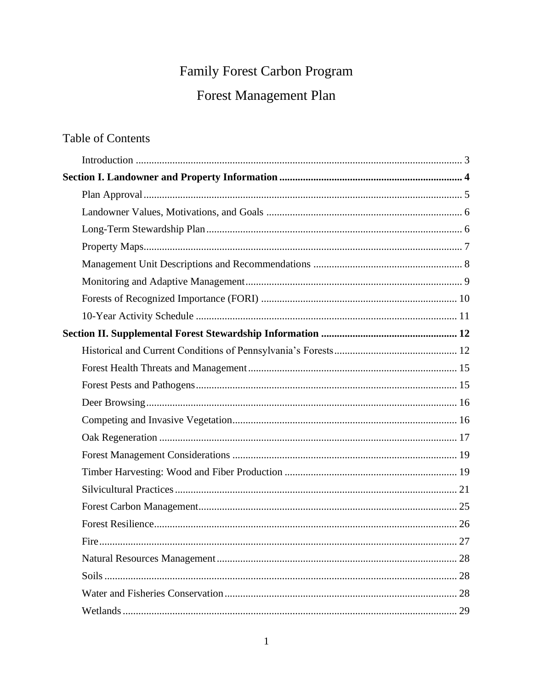# Family Forest Carbon Program

# Forest Management Plan

# **Table of Contents**

| Fire. |  |
|-------|--|
|       |  |
|       |  |
|       |  |
|       |  |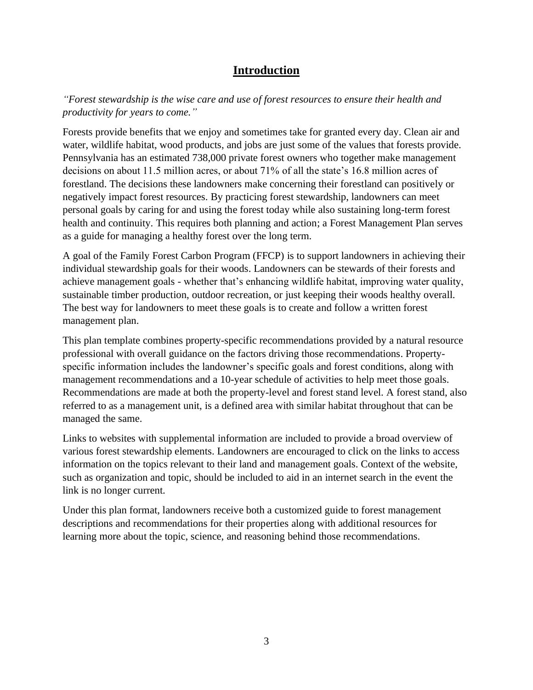## **Introduction**

<span id="page-2-0"></span>*"Forest stewardship is the wise care and use of forest resources to ensure their health and productivity for years to come."*

Forests provide benefits that we enjoy and sometimes take for granted every day. Clean air and water, wildlife habitat, wood products, and jobs are just some of the values that forests provide. Pennsylvania has an estimated 738,000 private forest owners who together make management decisions on about 11.5 million acres, or about 71% of all the state's 16.8 million acres of forestland. The decisions these landowners make concerning their forestland can positively or negatively impact forest resources. By practicing forest stewardship, landowners can meet personal goals by caring for and using the forest today while also sustaining long-term forest health and continuity. This requires both planning and action; a Forest Management Plan serves as a guide for managing a healthy forest over the long term.

A goal of the Family Forest Carbon Program (FFCP) is to support landowners in achieving their individual stewardship goals for their woods. Landowners can be stewards of their forests and achieve management goals - whether that's enhancing wildlife habitat, improving water quality, sustainable timber production, outdoor recreation, or just keeping their woods healthy overall. The best way for landowners to meet these goals is to create and follow a written forest management plan.

This plan template combines property-specific recommendations provided by a natural resource professional with overall guidance on the factors driving those recommendations. Propertyspecific information includes the landowner's specific goals and forest conditions, along with management recommendations and a 10-year schedule of activities to help meet those goals. Recommendations are made at both the property-level and forest stand level. A forest stand, also referred to as a management unit, is a defined area with similar habitat throughout that can be managed the same.

Links to websites with supplemental information are included to provide a broad overview of various forest stewardship elements. Landowners are encouraged to click on the links to access information on the topics relevant to their land and management goals. Context of the website, such as organization and topic, should be included to aid in an internet search in the event the link is no longer current.

Under this plan format, landowners receive both a customized guide to forest management descriptions and recommendations for their properties along with additional resources for learning more about the topic, science, and reasoning behind those recommendations.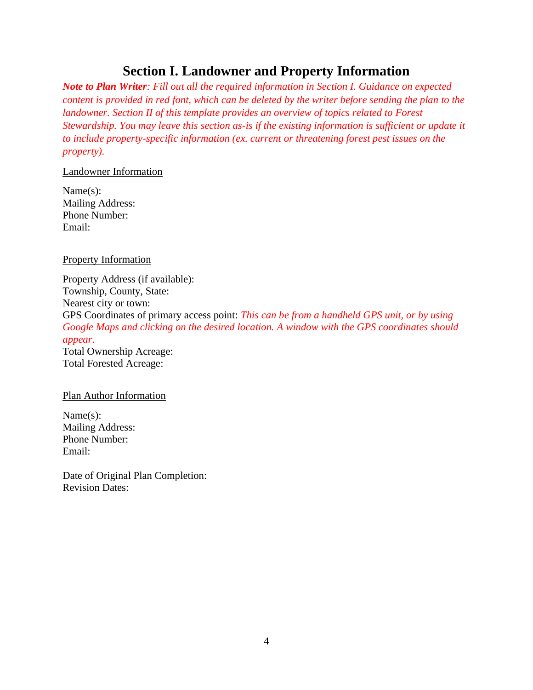# **Section I. Landowner and Property Information**

<span id="page-3-0"></span>*Note to Plan Writer: Fill out all the required information in Section I. Guidance on expected content is provided in red font, which can be deleted by the writer before sending the plan to the landowner. Section II of this template provides an overview of topics related to Forest Stewardship. You may leave this section as-is if the existing information is sufficient or update it to include property-specific information (ex. current or threatening forest pest issues on the property).*

#### Landowner Information

Name(s): Mailing Address: Phone Number: Email:

Property Information

Property Address (if available): Township, County, State: Nearest city or town: GPS Coordinates of primary access point: *This can be from a handheld GPS unit, or by using Google Maps and clicking on the desired location. A window with the GPS coordinates should appear.* Total Ownership Acreage: Total Forested Acreage:

#### Plan Author Information

Name(s): Mailing Address: Phone Number: Email:

Date of Original Plan Completion: Revision Dates: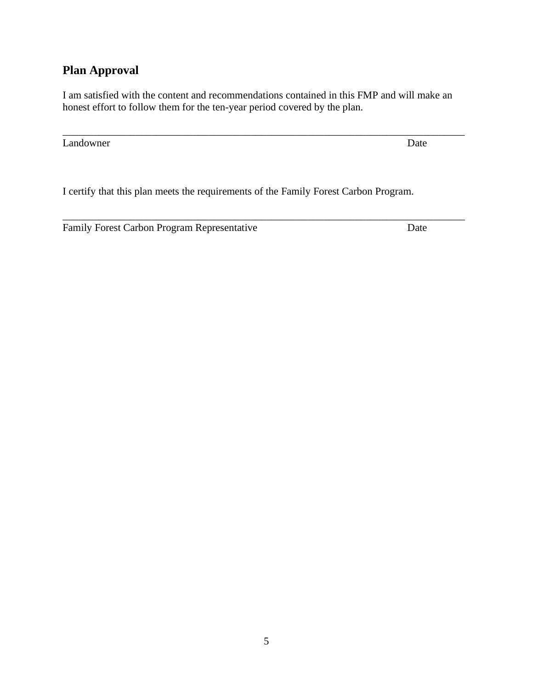# <span id="page-4-0"></span>**Plan Approval**

I am satisfied with the content and recommendations contained in this FMP and will make an honest effort to follow them for the ten-year period covered by the plan.

\_\_\_\_\_\_\_\_\_\_\_\_\_\_\_\_\_\_\_\_\_\_\_\_\_\_\_\_\_\_\_\_\_\_\_\_\_\_\_\_\_\_\_\_\_\_\_\_\_\_\_\_\_\_\_\_\_\_\_\_\_\_\_\_\_\_\_\_\_\_\_\_\_\_\_\_\_

\_\_\_\_\_\_\_\_\_\_\_\_\_\_\_\_\_\_\_\_\_\_\_\_\_\_\_\_\_\_\_\_\_\_\_\_\_\_\_\_\_\_\_\_\_\_\_\_\_\_\_\_\_\_\_\_\_\_\_\_\_\_\_\_\_\_\_\_\_\_\_\_\_\_\_\_\_

Landowner Date

I certify that this plan meets the requirements of the Family Forest Carbon Program.

Family Forest Carbon Program Representative Date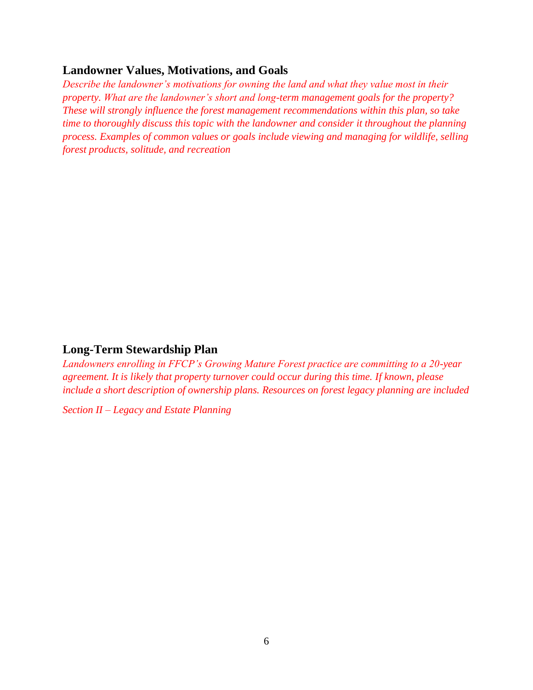#### <span id="page-5-0"></span>**Landowner Values, Motivations, and Goals**

*Describe the landowner's motivations for owning the land and what they value most in their property. What are the landowner's short and long-term management goals for the property? These will strongly influence the forest management recommendations within this plan, so take time to thoroughly discuss this topic with the landowner and consider it throughout the planning process. Examples of common values or goals include viewing and managing for wildlife, selling forest products, solitude, and recreation*

#### <span id="page-5-1"></span>**Long-Term Stewardship Plan**

*Landowners enrolling in FFCP's Growing Mature Forest practice are committing to a 20-year agreement. It is likely that property turnover could occur during this time. If known, please include a short description of ownership plans. Resources on forest legacy planning are included* 

*Section II – Legacy and Estate Planning*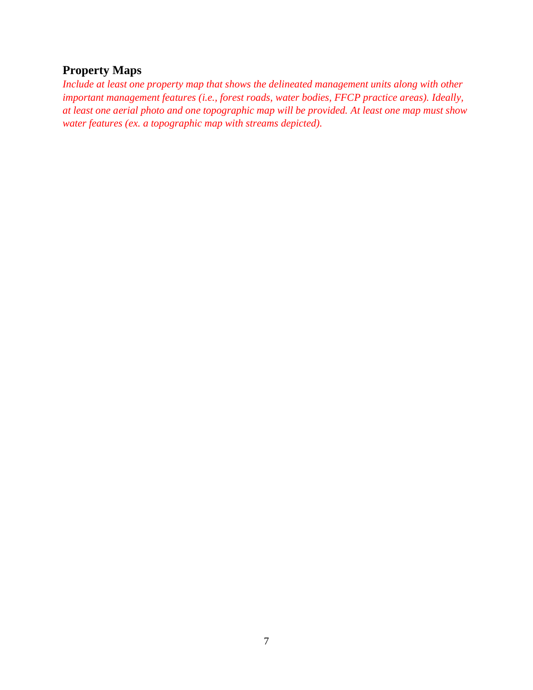## <span id="page-6-0"></span>**Property Maps**

*Include at least one property map that shows the delineated management units along with other important management features (i.e., forest roads, water bodies, FFCP practice areas). Ideally, at least one aerial photo and one topographic map will be provided. At least one map must show water features (ex. a topographic map with streams depicted).*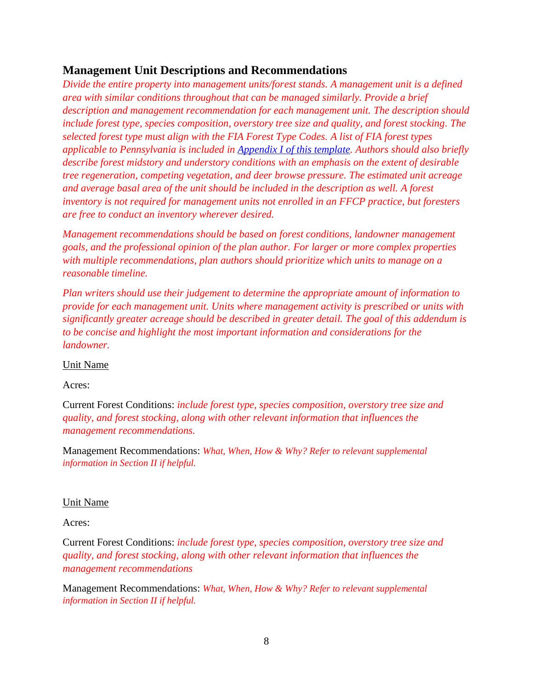## <span id="page-7-0"></span>**Management Unit Descriptions and Recommendations**

*Divide the entire property into management units/forest stands. A management unit is a defined area with similar conditions throughout that can be managed similarly. Provide a brief description and management recommendation for each management unit. The description should include forest type, species composition, overstory tree size and quality, and forest stocking. The selected forest type must align with the FIA Forest Type Codes. A list of FIA forest types applicable to Pennsylvania is included in Appendix I [of this template.](#page-42-0) Authors should also briefly describe forest midstory and understory conditions with an emphasis on the extent of desirable tree regeneration, competing vegetation, and deer browse pressure. The estimated unit acreage and average basal area of the unit should be included in the description as well. A forest inventory is not required for management units not enrolled in an FFCP practice, but foresters are free to conduct an inventory wherever desired.*

*Management recommendations should be based on forest conditions, landowner management goals, and the professional opinion of the plan author. For larger or more complex properties with multiple recommendations, plan authors should prioritize which units to manage on a reasonable timeline.*

*Plan writers should use their judgement to determine the appropriate amount of information to provide for each management unit. Units where management activity is prescribed or units with significantly greater acreage should be described in greater detail. The goal of this addendum is to be concise and highlight the most important information and considerations for the landowner.*

Unit Name

Acres:

Current Forest Conditions: *include forest type, species composition, overstory tree size and quality, and forest stocking, along with other relevant information that influences the management recommendations.*

Management Recommendations: *What, When, How & Why? Refer to relevant supplemental information in Section II if helpful.* 

#### Unit Name

Acres:

Current Forest Conditions: *include forest type, species composition, overstory tree size and quality, and forest stocking, along with other relevant information that influences the management recommendations*

Management Recommendations: *What, When, How & Why? Refer to relevant supplemental information in Section II if helpful.*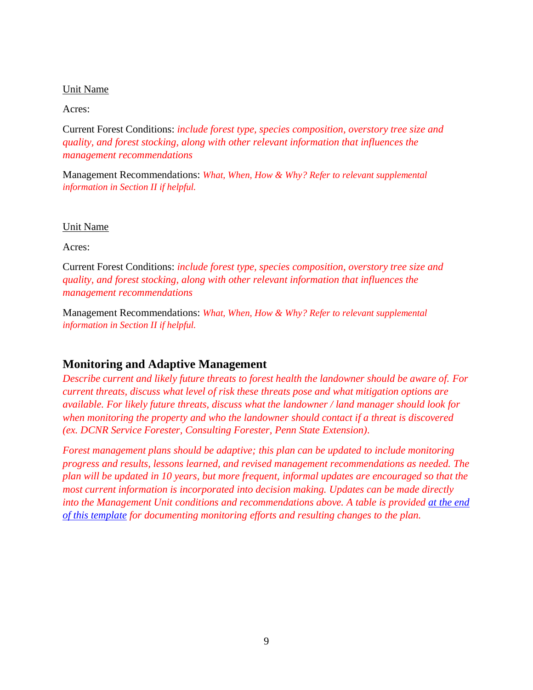#### Unit Name

Acres:

Current Forest Conditions: *include forest type, species composition, overstory tree size and quality, and forest stocking, along with other relevant information that influences the management recommendations*

Management Recommendations: *What, When, How & Why? Refer to relevant supplemental information in Section II if helpful.* 

#### Unit Name

Acres:

Current Forest Conditions: *include forest type, species composition, overstory tree size and quality, and forest stocking, along with other relevant information that influences the management recommendations*

Management Recommendations: *What, When, How & Why? Refer to relevant supplemental information in Section II if helpful.* 

### <span id="page-8-0"></span>**Monitoring and Adaptive Management**

*Describe current and likely future threats to forest health the landowner should be aware of. For current threats, discuss what level of risk these threats pose and what mitigation options are available. For likely future threats, discuss what the landowner / land manager should look for when monitoring the property and who the landowner should contact if a threat is discovered (ex. DCNR Service Forester, Consulting Forester, Penn State Extension).*

*Forest management plans should be adaptive; this plan can be updated to include monitoring progress and results, lessons learned, and revised management recommendations as needed. The plan will be updated in 10 years, but more frequent, informal updates are encouraged so that the most current information is incorporated into decision making. Updates can be made directly into the Management Unit conditions and recommendations above. A table is provided at the end [of this template](#page-34-1) for documenting monitoring efforts and resulting changes to the plan.*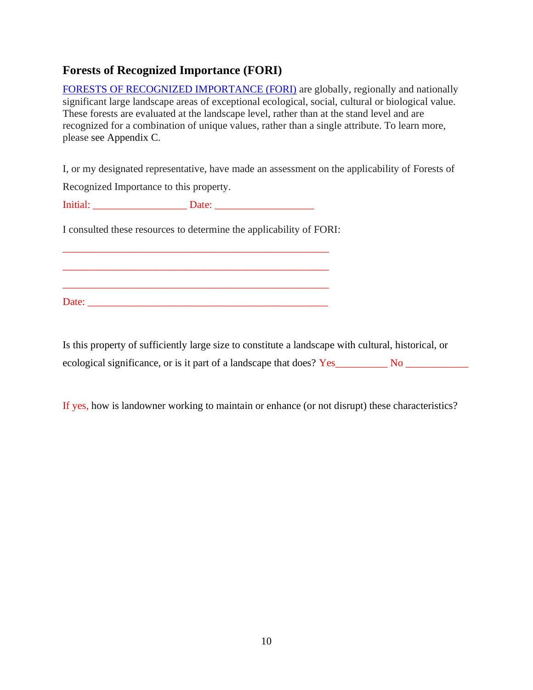## <span id="page-9-0"></span>**Forests of Recognized Importance (FORI)**

FORESTS [OF RECOGNIZED IMPORTANCE \(FORI\)](https://mylandplan.org/sites/default/files/article_attachments/fori_primer.pdf?_ga=2.127634180.826506688.1634147240-408622532.1620856093) are globally, regionally and nationally significant large landscape areas of exceptional ecological, social, cultural or biological value. These forests are evaluated at the landscape level, rather than at the stand level and are recognized for a combination of unique values, rather than a single attribute. To learn more, please see Appendix C.

I, or my designated representative, have made an assessment on the applicability of Forests of

Recognized Importance to this property.

Initial: \_\_\_\_\_\_\_\_\_\_\_\_\_\_\_\_\_\_ Date: \_\_\_\_\_\_\_\_\_\_\_\_\_\_\_\_\_\_\_

I consulted these resources to determine the applicability of FORI:

\_\_\_\_\_\_\_\_\_\_\_\_\_\_\_\_\_\_\_\_\_\_\_\_\_\_\_\_\_\_\_\_\_\_\_\_\_\_\_\_\_\_\_\_\_\_\_\_\_\_\_

\_\_\_\_\_\_\_\_\_\_\_\_\_\_\_\_\_\_\_\_\_\_\_\_\_\_\_\_\_\_\_\_\_\_\_\_\_\_\_\_\_\_\_\_\_\_\_\_\_\_\_

\_\_\_\_\_\_\_\_\_\_\_\_\_\_\_\_\_\_\_\_\_\_\_\_\_\_\_\_\_\_\_\_\_\_\_\_\_\_\_\_\_\_\_\_\_\_\_\_\_\_\_

Date: \_\_\_\_\_\_\_\_\_\_\_\_\_\_\_\_\_\_\_\_\_\_\_\_\_\_\_\_\_\_\_\_\_\_\_\_\_\_\_\_\_\_\_\_\_\_

Is this property of sufficiently large size to constitute a landscape with cultural, historical, or ecological significance, or is it part of a landscape that does? Yes\_\_\_\_\_\_\_\_\_ No \_\_\_\_\_\_\_\_\_\_\_\_\_\_\_\_\_\_

If yes, how is landowner working to maintain or enhance (or not disrupt) these characteristics?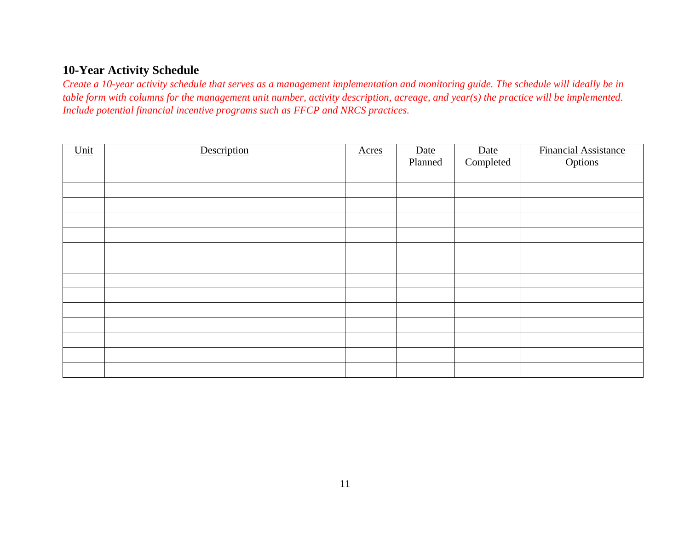## **10-Year Activity Schedule**

*Create a 10-year activity schedule that serves as a management implementation and monitoring guide. The schedule will ideally be in table form with columns for the management unit number, activity description, acreage, and year(s) the practice will be implemented. Include potential financial incentive programs such as FFCP and NRCS practices.* 

<span id="page-10-0"></span>

| Unit | Description | Acres | Date<br>Planned | Date<br>Completed | <b>Financial Assistance</b><br>Options |
|------|-------------|-------|-----------------|-------------------|----------------------------------------|
|      |             |       |                 |                   |                                        |
|      |             |       |                 |                   |                                        |
|      |             |       |                 |                   |                                        |
|      |             |       |                 |                   |                                        |
|      |             |       |                 |                   |                                        |
|      |             |       |                 |                   |                                        |
|      |             |       |                 |                   |                                        |
|      |             |       |                 |                   |                                        |
|      |             |       |                 |                   |                                        |
|      |             |       |                 |                   |                                        |
|      |             |       |                 |                   |                                        |
|      |             |       |                 |                   |                                        |
|      |             |       |                 |                   |                                        |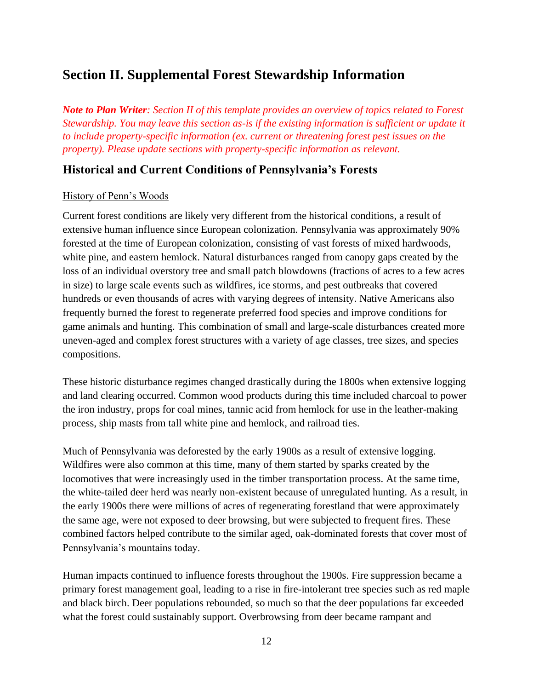# <span id="page-11-0"></span>**Section II. Supplemental Forest Stewardship Information**

*Note to Plan Writer: Section II of this template provides an overview of topics related to Forest Stewardship. You may leave this section as-is if the existing information is sufficient or update it to include property-specific information (ex. current or threatening forest pest issues on the property). Please update sections with property-specific information as relevant.*

## <span id="page-11-1"></span>**Historical and Current Conditions of Pennsylvania's Forests**

#### History of Penn's Woods

Current forest conditions are likely very different from the historical conditions, a result of extensive human influence since European colonization. Pennsylvania was approximately 90% forested at the time of European colonization, consisting of vast forests of mixed hardwoods, white pine, and eastern hemlock. Natural disturbances ranged from canopy gaps created by the loss of an individual overstory tree and small patch blowdowns (fractions of acres to a few acres in size) to large scale events such as wildfires, ice storms, and pest outbreaks that covered hundreds or even thousands of acres with varying degrees of intensity. Native Americans also frequently burned the forest to regenerate preferred food species and improve conditions for game animals and hunting. This combination of small and large-scale disturbances created more uneven-aged and complex forest structures with a variety of age classes, tree sizes, and species compositions.

These historic disturbance regimes changed drastically during the 1800s when extensive logging and land clearing occurred. Common wood products during this time included charcoal to power the iron industry, props for coal mines, tannic acid from hemlock for use in the leather-making process, ship masts from tall white pine and hemlock, and railroad ties.

Much of Pennsylvania was deforested by the early 1900s as a result of extensive logging. Wildfires were also common at this time, many of them started by sparks created by the locomotives that were increasingly used in the timber transportation process. At the same time, the white-tailed deer herd was nearly non-existent because of unregulated hunting. As a result, in the early 1900s there were millions of acres of regenerating forestland that were approximately the same age, were not exposed to deer browsing, but were subjected to frequent fires. These combined factors helped contribute to the similar aged, oak-dominated forests that cover most of Pennsylvania's mountains today.

Human impacts continued to influence forests throughout the 1900s. Fire suppression became a primary forest management goal, leading to a rise in fire-intolerant tree species such as red maple and black birch. Deer populations rebounded, so much so that the deer populations far exceeded what the forest could sustainably support. Overbrowsing from deer became rampant and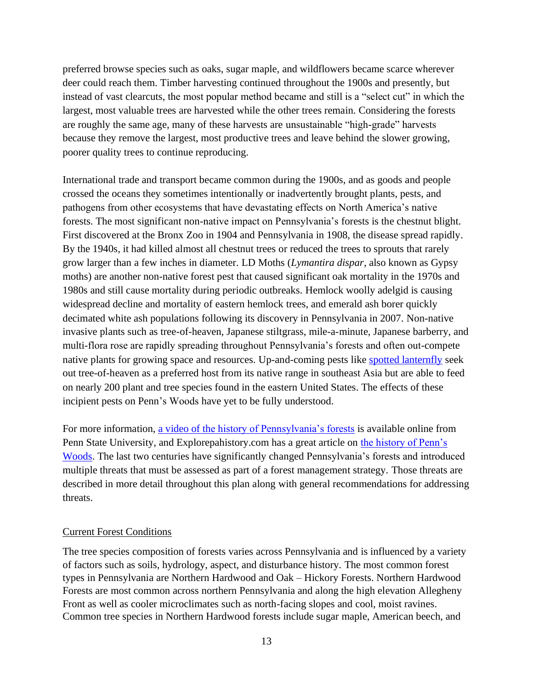preferred browse species such as oaks, sugar maple, and wildflowers became scarce wherever deer could reach them. Timber harvesting continued throughout the 1900s and presently, but instead of vast clearcuts, the most popular method became and still is a "select cut" in which the largest, most valuable trees are harvested while the other trees remain. Considering the forests are roughly the same age, many of these harvests are unsustainable "high-grade" harvests because they remove the largest, most productive trees and leave behind the slower growing, poorer quality trees to continue reproducing.

International trade and transport became common during the 1900s, and as goods and people crossed the oceans they sometimes intentionally or inadvertently brought plants, pests, and pathogens from other ecosystems that have devastating effects on North America's native forests. The most significant non-native impact on Pennsylvania's forests is the chestnut blight. First discovered at the Bronx Zoo in 1904 and Pennsylvania in 1908, the disease spread rapidly. By the 1940s, it had killed almost all chestnut trees or reduced the trees to sprouts that rarely grow larger than a few inches in diameter. LD Moths (*Lymantira dispar*, also known as Gypsy moths) are another non-native forest pest that caused significant oak mortality in the 1970s and 1980s and still cause mortality during periodic outbreaks. Hemlock woolly adelgid is causing widespread decline and mortality of eastern hemlock trees, and emerald ash borer quickly decimated white ash populations following its discovery in Pennsylvania in 2007. Non-native invasive plants such as tree-of-heaven, Japanese stiltgrass, mile-a-minute, Japanese barberry, and multi-flora rose are rapidly spreading throughout Pennsylvania's forests and often out-compete native plants for growing space and resources. Up-and-coming pests like [spotted lanternfly](https://www.aphis.usda.gov/publications/plant_health/alert-spotted-lanternfly.pdf) seek out tree-of-heaven as a preferred host from its native range in southeast Asia but are able to feed on nearly 200 plant and tree species found in the eastern United States. The effects of these incipient pests on Penn's Woods have yet to be fully understood.

For more information, [a video of the history of Pennsylvania's forests](https://www.youtube.com/watch?v=p4ohbPMvaxE) is available online from Penn State University, and Explorepahistory.com has a great article on [the history of Penn's](https://explorepahistory.com/story.php?storyId=1-9-E&chapter=1)  [Woods.](https://explorepahistory.com/story.php?storyId=1-9-E&chapter=1) The last two centuries have significantly changed Pennsylvania's forests and introduced multiple threats that must be assessed as part of a forest management strategy. Those threats are described in more detail throughout this plan along with general recommendations for addressing threats.

#### Current Forest Conditions

The tree species composition of forests varies across Pennsylvania and is influenced by a variety of factors such as soils, hydrology, aspect, and disturbance history. The most common forest types in Pennsylvania are Northern Hardwood and Oak – Hickory Forests. Northern Hardwood Forests are most common across northern Pennsylvania and along the high elevation Allegheny Front as well as cooler microclimates such as north-facing slopes and cool, moist ravines. Common tree species in Northern Hardwood forests include sugar maple, American beech, and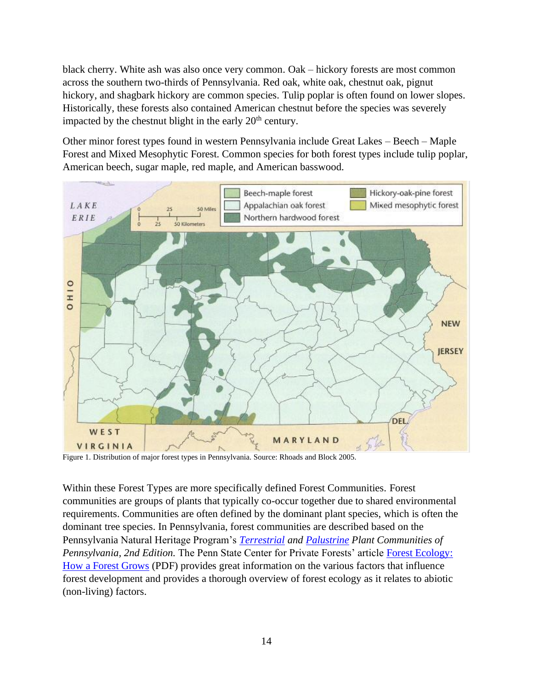black cherry. White ash was also once very common. Oak – hickory forests are most common across the southern two-thirds of Pennsylvania. Red oak, white oak, chestnut oak, pignut hickory, and shagbark hickory are common species. Tulip poplar is often found on lower slopes. Historically, these forests also contained American chestnut before the species was severely impacted by the chestnut blight in the early  $20<sup>th</sup>$  century.

Other minor forest types found in western Pennsylvania include Great Lakes – Beech – Maple Forest and Mixed Mesophytic Forest. Common species for both forest types include tulip poplar, American beech, sugar maple, red maple, and American basswood.



Figure 1. Distribution of major forest types in Pennsylvania. Source: Rhoads and Block 2005.

<span id="page-13-0"></span>Within these Forest Types are more specifically defined Forest Communities. Forest communities are groups of plants that typically co-occur together due to shared environmental requirements. Communities are often defined by the dominant plant species, which is often the dominant tree species. In Pennsylvania, forest communities are described based on the Pennsylvania Natural Heritage Program's *[Terrestrial](http://www.naturalheritage.state.pa.us/docs/community/Communities_Terrestrial_s3.pdf) and [Palustrine](https://www.naturalheritage.state.pa.us/docs/community/Communities_Palustrine_s2.pdf) Plant Communities of Pennsylvania, 2nd Edition.* The Penn State Center for Private Forests' article [Forest Ecology:](https://ecosystems.psu.edu/research/centers/private-forests/outreach/forest-regeneration/forest-regeneration-assessment-series-1-forest-ecology-how-forests-grow)  [How a Forest Grows](https://ecosystems.psu.edu/research/centers/private-forests/outreach/forest-regeneration/forest-regeneration-assessment-series-1-forest-ecology-how-forests-grow) (PDF) provides great information on the various factors that influence forest development and provides a thorough overview of forest ecology as it relates to abiotic (non-living) factors.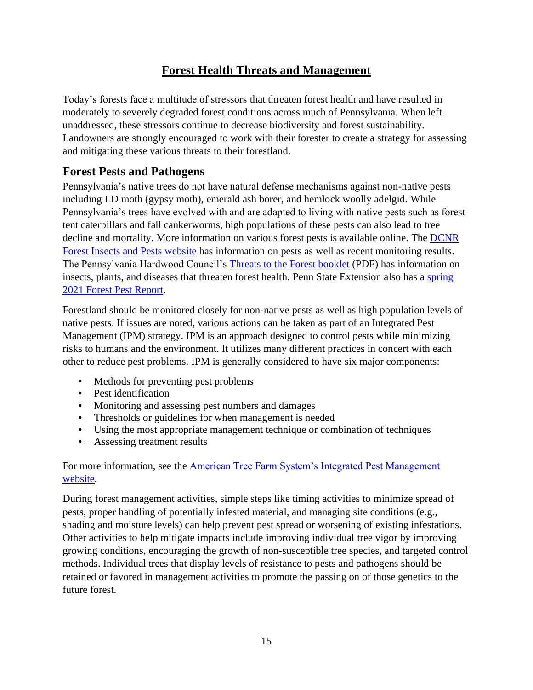## **Forest Health Threats and Management**

<span id="page-14-0"></span>Today's forests face a multitude of stressors that threaten forest health and have resulted in moderately to severely degraded forest conditions across much of Pennsylvania. When left unaddressed, these stressors continue to decrease biodiversity and forest sustainability. Landowners are strongly encouraged to work with their forester to create a strategy for assessing and mitigating these various threats to their forestland.

## <span id="page-14-1"></span>**Forest Pests and Pathogens**

Pennsylvania's native trees do not have natural defense mechanisms against non-native pests including LD moth (gypsy moth), emerald ash borer, and hemlock woolly adelgid. While Pennsylvania's trees have evolved with and are adapted to living with native pests such as forest tent caterpillars and fall cankerworms, high populations of these pests can also lead to tree decline and mortality. More information on various forest pests is available online. The [DCNR](https://www.dcnr.pa.gov/Conservation/ForestsAndTrees/InsectsAndDiseases/Pages/default.aspx)  [Forest Insects and Pests website](https://www.dcnr.pa.gov/Conservation/ForestsAndTrees/InsectsAndDiseases/Pages/default.aspx) has information on pests as well as recent monitoring results. The Pennsylvania Hardwood Council's [Threats to the Forest booklet](https://www.agriculture.pa.gov/Business_Industry/HardwoodDevelopmentCouncil/Documents/Threats%20to%20the%20Forest%20Booklet_final_2020.pdf) (PDF) has information on insects, plants, and diseases that threaten forest health. Penn State Extension also has a spring [2021 Forest Pest Report.](https://extension.psu.edu/spring-2021-pa-forest-health-report)

Forestland should be monitored closely for non-native pests as well as high population levels of native pests. If issues are noted, various actions can be taken as part of an Integrated Pest Management (IPM) strategy. IPM is an approach designed to control pests while minimizing risks to humans and the environment. It utilizes many different practices in concert with each other to reduce pest problems. IPM is generally considered to have six major components:

- Methods for preventing pest problems
- Pest identification
- Monitoring and assessing pest numbers and damages
- Thresholds or guidelines for when management is needed
- Using the most appropriate management technique or combination of techniques
- Assessing treatment results

### For more information, see the [American Tree Farm System's Integrated Pest Management](https://www.treefarmsystem.org/integrated-pest-management)  [website.](https://www.treefarmsystem.org/integrated-pest-management)

During forest management activities, simple steps like timing activities to minimize spread of pests, proper handling of potentially infested material, and managing site conditions (e.g., shading and moisture levels) can help prevent pest spread or worsening of existing infestations. Other activities to help mitigate impacts include improving individual tree vigor by improving growing conditions, encouraging the growth of non-susceptible tree species, and targeted control methods. Individual trees that display levels of resistance to pests and pathogens should be retained or favored in management activities to promote the passing on of those genetics to the future forest.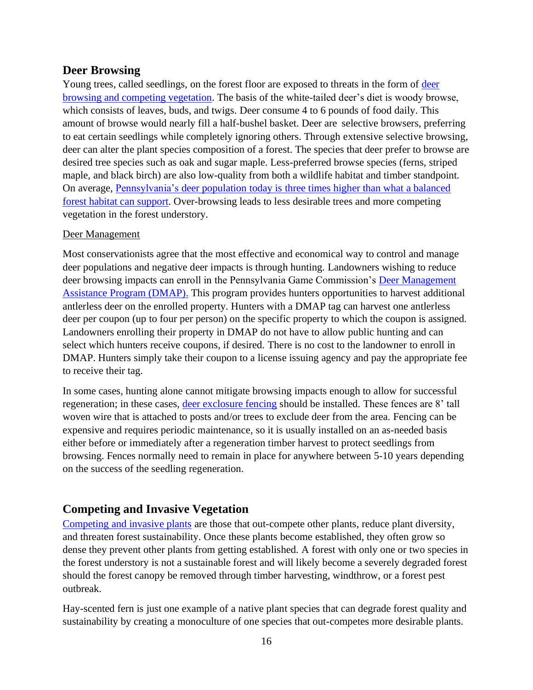## <span id="page-15-0"></span>**Deer Browsing**

Young trees, called seedlings, on the forest floor are exposed to threats in the form of [deer](https://extension.psu.edu/regenerating-hardwood-forests-managing-competing-plants-deer-and-light)  [browsing and competing vegetation.](https://extension.psu.edu/regenerating-hardwood-forests-managing-competing-plants-deer-and-light) The basis of the white-tailed deer's diet is woody browse, which consists of leaves, buds, and twigs. Deer consume 4 to 6 pounds of food daily. This amount of browse would nearly fill a half-bushel basket. Deer are selective browsers, preferring to eat certain seedlings while completely ignoring others. Through extensive selective browsing, deer can alter the plant species composition of a forest. The species that deer prefer to browse are desired tree species such as oak and sugar maple. Less-preferred browse species (ferns, striped maple, and black birch) are also low-quality from both a wildlife habitat and timber standpoint. On average, [Pennsylvania's deer population today is three times higher than what a balanced](https://extension.psu.edu/white-tailed-deer)  [forest habitat can support.](https://extension.psu.edu/white-tailed-deer) Over-browsing leads to less desirable trees and more competing vegetation in the forest understory.

#### Deer Management

Most conservationists agree that the most effective and economical way to control and manage deer populations and negative deer impacts is through hunting. Landowners wishing to reduce deer browsing impacts can enroll in the Pennsylvania Game Commission's [Deer Management](https://www.pgc.pa.gov/InformationResources/GetInvolved/LandownerPrograms/DeerManagementAssistanceProgram/Pages/default.aspx)  [Assistance Program \(DMAP\).](https://www.pgc.pa.gov/InformationResources/GetInvolved/LandownerPrograms/DeerManagementAssistanceProgram/Pages/default.aspx) This program provides hunters opportunities to harvest additional antlerless deer on the enrolled property. Hunters with a DMAP tag can harvest one antlerless deer per coupon (up to four per person) on the specific property to which the coupon is assigned. Landowners enrolling their property in DMAP do not have to allow public hunting and can select which hunters receive coupons, if desired. There is no cost to the landowner to enroll in DMAP. Hunters simply take their coupon to a license issuing agency and pay the appropriate fee to receive their tag.

In some cases, hunting alone cannot mitigate browsing impacts enough to allow for successful regeneration; in these cases, [deer exclosure fencing](https://extension.psu.edu/forest-finance-2-fencing-for-forest-regeneration-does-it-pay) should be installed. These fences are 8' tall woven wire that is attached to posts and/or trees to exclude deer from the area. Fencing can be expensive and requires periodic maintenance, so it is usually installed on an as-needed basis either before or immediately after a regeneration timber harvest to protect seedlings from browsing. Fences normally need to remain in place for anywhere between 5-10 years depending on the success of the seedling regeneration.

## <span id="page-15-1"></span>**Competing and Invasive Vegetation**

[Competing and invasive plants](https://extension.psu.edu/forests-and-wildlife/forest-management/invasive-and-competing-plants) are those that out-compete other plants, reduce plant diversity, and threaten forest sustainability. Once these plants become established, they often grow so dense they prevent other plants from getting established. A forest with only one or two species in the forest understory is not a sustainable forest and will likely become a severely degraded forest should the forest canopy be removed through timber harvesting, windthrow, or a forest pest outbreak.

Hay-scented fern is just one example of a native plant species that can degrade forest quality and sustainability by creating a monoculture of one species that out-competes more desirable plants.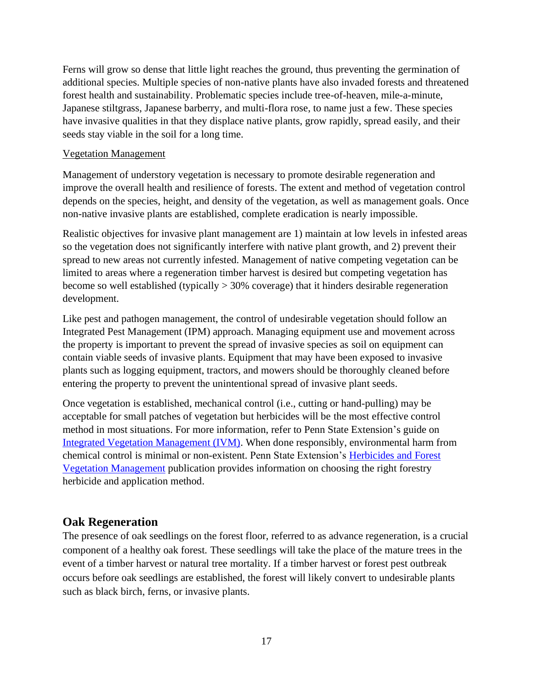Ferns will grow so dense that little light reaches the ground, thus preventing the germination of additional species. Multiple species of non-native plants have also invaded forests and threatened forest health and sustainability. Problematic species include tree-of-heaven, mile-a-minute, Japanese stiltgrass, Japanese barberry, and multi-flora rose, to name just a few. These species have invasive qualities in that they displace native plants, grow rapidly, spread easily, and their seeds stay viable in the soil for a long time.

#### Vegetation Management

Management of understory vegetation is necessary to promote desirable regeneration and improve the overall health and resilience of forests. The extent and method of vegetation control depends on the species, height, and density of the vegetation, as well as management goals. Once non-native invasive plants are established, complete eradication is nearly impossible.

Realistic objectives for invasive plant management are 1) maintain at low levels in infested areas so the vegetation does not significantly interfere with native plant growth, and 2) prevent their spread to new areas not currently infested. Management of native competing vegetation can be limited to areas where a regeneration timber harvest is desired but competing vegetation has become so well established (typically > 30% coverage) that it hinders desirable regeneration development.

Like pest and pathogen management, the control of undesirable vegetation should follow an Integrated Pest Management (IPM) approach. Managing equipment use and movement across the property is important to prevent the spread of invasive species as soil on equipment can contain viable seeds of invasive plants. Equipment that may have been exposed to invasive plants such as logging equipment, tractors, and mowers should be thoroughly cleaned before entering the property to prevent the unintentional spread of invasive plant seeds.

Once vegetation is established, mechanical control (i.e., cutting or hand-pulling) may be acceptable for small patches of vegetation but herbicides will be the most effective control method in most situations. For more information, refer to Penn State Extension's guide on [Integrated Vegetation Management \(IVM\).](https://extension.psu.edu/integrated-forest-vegetation-management) When done responsibly, environmental harm from chemical control is minimal or non-existent. Penn State Extension's [Herbicides and Forest](https://extension.psu.edu/herbicides-and-forest-vegetation-management)  [Vegetation Management](https://extension.psu.edu/herbicides-and-forest-vegetation-management) publication provides information on choosing the right forestry herbicide and application method.

### <span id="page-16-0"></span>**Oak Regeneration**

The presence of oak seedlings on the forest floor, referred to as advance regeneration, is a crucial component of a healthy oak forest. These seedlings will take the place of the mature trees in the event of a timber harvest or natural tree mortality. If a timber harvest or forest pest outbreak occurs before oak seedlings are established, the forest will likely convert to undesirable plants such as black birch, ferns, or invasive plants.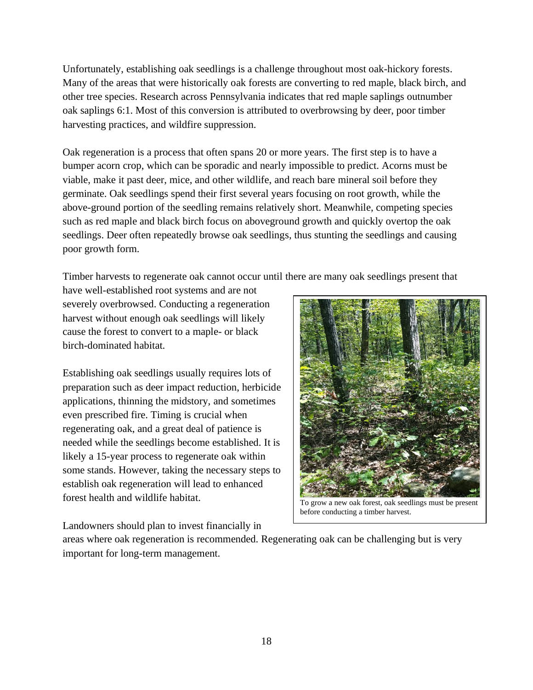Unfortunately, establishing oak seedlings is a challenge throughout most oak-hickory forests. Many of the areas that were historically oak forests are converting to red maple, black birch, and other tree species. Research across Pennsylvania indicates that red maple saplings outnumber oak saplings 6:1. Most of this conversion is attributed to overbrowsing by deer, poor timber harvesting practices, and wildfire suppression.

Oak regeneration is a process that often spans 20 or more years. The first step is to have a bumper acorn crop, which can be sporadic and nearly impossible to predict. Acorns must be viable, make it past deer, mice, and other wildlife, and reach bare mineral soil before they germinate. Oak seedlings spend their first several years focusing on root growth, while the above-ground portion of the seedling remains relatively short. Meanwhile, competing species such as red maple and black birch focus on aboveground growth and quickly overtop the oak seedlings. Deer often repeatedly browse oak seedlings, thus stunting the seedlings and causing poor growth form.

Timber harvests to regenerate oak cannot occur until there are many oak seedlings present that

have well-established root systems and are not severely overbrowsed. Conducting a regeneration harvest without enough oak seedlings will likely cause the forest to convert to a maple- or black birch-dominated habitat.

Establishing oak seedlings usually requires lots of preparation such as deer impact reduction, herbicide applications, thinning the midstory, and sometimes even prescribed fire. Timing is crucial when regenerating oak, and a great deal of patience is needed while the seedlings become established. It is likely a 15-year process to regenerate oak within some stands. However, taking the necessary steps to establish oak regeneration will lead to enhanced forest health and wildlife habitat.



To grow a new oak forest, oak seedlings must be present before conducting a timber harvest.

Landowners should plan to invest financially in

areas where oak regeneration is recommended. Regenerating oak can be challenging but is very important for long-term management.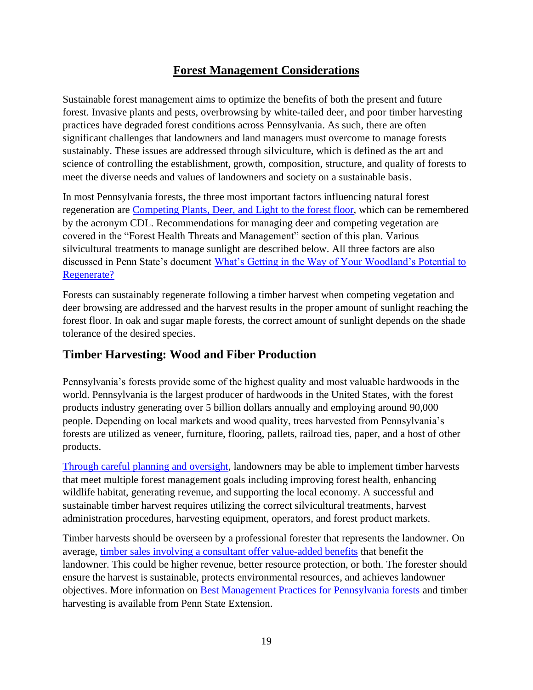## **Forest Management Considerations**

<span id="page-18-0"></span>Sustainable forest management aims to optimize the benefits of both the present and future forest. Invasive plants and pests, overbrowsing by white-tailed deer, and poor timber harvesting practices have degraded forest conditions across Pennsylvania. As such, there are often significant challenges that landowners and land managers must overcome to manage forests sustainably. These issues are addressed through silviculture, which is defined as the art and science of controlling the establishment, growth, composition, structure, and quality of forests to meet the diverse needs and values of landowners and society on a sustainable basis.

In most Pennsylvania forests, the three most important factors influencing natural forest regeneration are [Competing Plants, Deer, and Light](https://extension.psu.edu/regenerating-hardwood-forests-managing-competing-plants-deer-and-light) to the forest floor, which can be remembered by the acronym CDL. Recommendations for managing deer and competing vegetation are covered in the "Forest Health Threats and Management" section of this plan. Various silvicultural treatments to manage sunlight are described below. All three factors are also discussed in Penn State's document [What's Getting in the Way of Your Woodland's Potential to](https://ecosystems.psu.edu/research/centers/private-forests/outreach/forest-regeneration/forest-regeneration-assessment-series-2-what2019s-getting-in-the-way-of-your-woodland2019s-potential-to-regenerate)  [Regenerate?](https://ecosystems.psu.edu/research/centers/private-forests/outreach/forest-regeneration/forest-regeneration-assessment-series-2-what2019s-getting-in-the-way-of-your-woodland2019s-potential-to-regenerate)

Forests can sustainably regenerate following a timber harvest when competing vegetation and deer browsing are addressed and the harvest results in the proper amount of sunlight reaching the forest floor. In oak and sugar maple forests, the correct amount of sunlight depends on the shade tolerance of the desired species.

## <span id="page-18-1"></span>**Timber Harvesting: Wood and Fiber Production**

Pennsylvania's forests provide some of the highest quality and most valuable hardwoods in the world. Pennsylvania is the largest producer of hardwoods in the United States, with the forest products industry generating over 5 billion dollars annually and employing around 90,000 people. Depending on local markets and wood quality, trees harvested from Pennsylvania's forests are utilized as veneer, furniture, flooring, pallets, railroad ties, paper, and a host of other products.

[Through careful planning and oversight,](https://extension.psu.edu/timber-sales-a-guide-to-selling-timber) landowners may be able to implement timber harvests that meet multiple forest management goals including improving forest health, enhancing wildlife habitat, generating revenue, and supporting the local economy. A successful and sustainable timber harvest requires utilizing the correct silvicultural treatments, harvest administration procedures, harvesting equipment, operators, and forest product markets.

Timber harvests should be overseen by a professional forester that represents the landowner. On average, timber sales involving [a consultant offer value-added benefits](https://www.nxtbook.com/naylor/AFFA/AFFA0015/index.php?startid=14#/p/14) that benefit the landowner. This could be higher revenue, better resource protection, or both. The forester should ensure the harvest is sustainable, protects environmental resources, and achieves landowner objectives. More information on [Best Management Practices for Pennsylvania forests](https://extension.psu.edu/best-management-practices-for-pennsylvania-forests) and timber harvesting is available from Penn State Extension.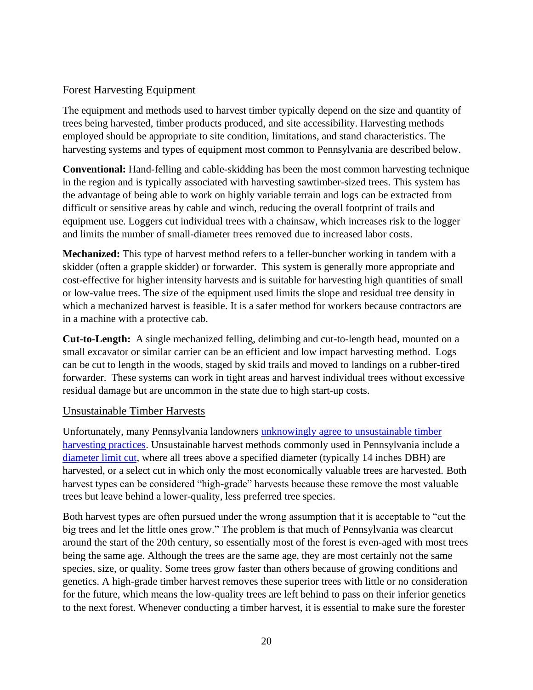#### Forest Harvesting Equipment

The equipment and methods used to harvest timber typically depend on the size and quantity of trees being harvested, timber products produced, and site accessibility. Harvesting methods employed should be appropriate to site condition, limitations, and stand characteristics. The harvesting systems and types of equipment most common to Pennsylvania are described below.

**Conventional:** Hand-felling and cable-skidding has been the most common harvesting technique in the region and is typically associated with harvesting sawtimber-sized trees. This system has the advantage of being able to work on highly variable terrain and logs can be extracted from difficult or sensitive areas by cable and winch, reducing the overall footprint of trails and equipment use. Loggers cut individual trees with a chainsaw, which increases risk to the logger and limits the number of small-diameter trees removed due to increased labor costs.

**Mechanized:** This type of harvest method refers to a feller-buncher working in tandem with a skidder (often a grapple skidder) or forwarder. This system is generally more appropriate and cost-effective for higher intensity harvests and is suitable for harvesting high quantities of small or low-value trees. The size of the equipment used limits the slope and residual tree density in which a mechanized harvest is feasible. It is a safer method for workers because contractors are in a machine with a protective cab.

**Cut-to-Length:** A single mechanized felling, delimbing and cut-to-length head, mounted on a small excavator or similar carrier can be an efficient and low impact harvesting method. Logs can be cut to length in the woods, staged by skid trails and moved to landings on a rubber-tired forwarder. These systems can work in tight areas and harvest individual trees without excessive residual damage but are uncommon in the state due to high start-up costs.

#### Unsustainable Timber Harvests

Unfortunately, many Pennsylvania landowners [unknowingly agree to unsustainable timber](https://ecosystems.psu.edu/research/centers/private-forests/news/2019/woodland-owners-harvest-their-trees-for-the-darndest-reasons)  [harvesting practices.](https://ecosystems.psu.edu/research/centers/private-forests/news/2019/woodland-owners-harvest-their-trees-for-the-darndest-reasons) Unsustainable harvest methods commonly used in Pennsylvania include a [diameter limit cut,](https://extension.psu.edu/forest-stewardship-timber-harvesting-an-essential-management-tool) where all trees above a specified diameter (typically 14 inches DBH) are harvested, or a select cut in which only the most economically valuable trees are harvested. Both harvest types can be considered "high-grade" harvests because these remove the most valuable trees but leave behind a lower-quality, less preferred tree species.

Both harvest types are often pursued under the wrong assumption that it is acceptable to "cut the big trees and let the little ones grow." The problem is that much of Pennsylvania was clearcut around the start of the 20th century, so essentially most of the forest is even-aged with most trees being the same age. Although the trees are the same age, they are most certainly not the same species, size, or quality. Some trees grow faster than others because of growing conditions and genetics. A high-grade timber harvest removes these superior trees with little or no consideration for the future, which means the low-quality trees are left behind to pass on their inferior genetics to the next forest. Whenever conducting a timber harvest, it is essential to make sure the forester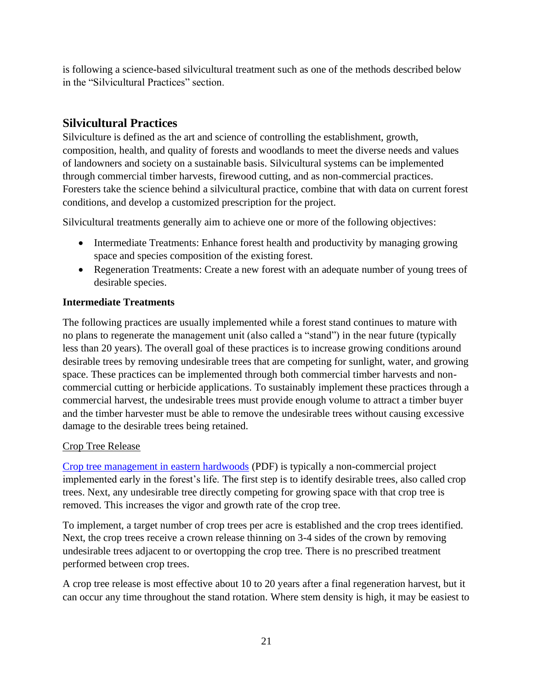is following a science-based silvicultural treatment such as one of the methods described below in the "Silvicultural Practices" section.

## <span id="page-20-0"></span>**Silvicultural Practices**

Silviculture is defined as the art and science of controlling the establishment, growth, composition, health, and quality of forests and woodlands to meet the diverse needs and values of landowners and society on a sustainable basis. Silvicultural systems can be implemented through commercial timber harvests, firewood cutting, and as non-commercial practices. Foresters take the science behind a silvicultural practice, combine that with data on current forest conditions, and develop a customized prescription for the project.

Silvicultural treatments generally aim to achieve one or more of the following objectives:

- Intermediate Treatments: Enhance forest health and productivity by managing growing space and species composition of the existing forest.
- Regeneration Treatments: Create a new forest with an adequate number of young trees of desirable species.

#### **Intermediate Treatments**

The following practices are usually implemented while a forest stand continues to mature with no plans to regenerate the management unit (also called a "stand") in the near future (typically less than 20 years). The overall goal of these practices is to increase growing conditions around desirable trees by removing undesirable trees that are competing for sunlight, water, and growing space. These practices can be implemented through both commercial timber harvests and noncommercial cutting or herbicide applications. To sustainably implement these practices through a commercial harvest, the undesirable trees must provide enough volume to attract a timber buyer and the timber harvester must be able to remove the undesirable trees without causing excessive damage to the desirable trees being retained.

#### Crop Tree Release

[Crop tree management in eastern hardwoods](https://www.nrcs.usda.gov/wps/PA_NRCSConsumption/download?cid=nrcseprd1412415&ext=pdf) (PDF) is typically a non-commercial project implemented early in the forest's life. The first step is to identify desirable trees, also called crop trees. Next, any undesirable tree directly competing for growing space with that crop tree is removed. This increases the vigor and growth rate of the crop tree.

To implement, a target number of crop trees per acre is established and the crop trees identified. Next, the crop trees receive a crown release thinning on 3-4 sides of the crown by removing undesirable trees adjacent to or overtopping the crop tree. There is no prescribed treatment performed between crop trees.

A crop tree release is most effective about 10 to 20 years after a final regeneration harvest, but it can occur any time throughout the stand rotation. Where stem density is high, it may be easiest to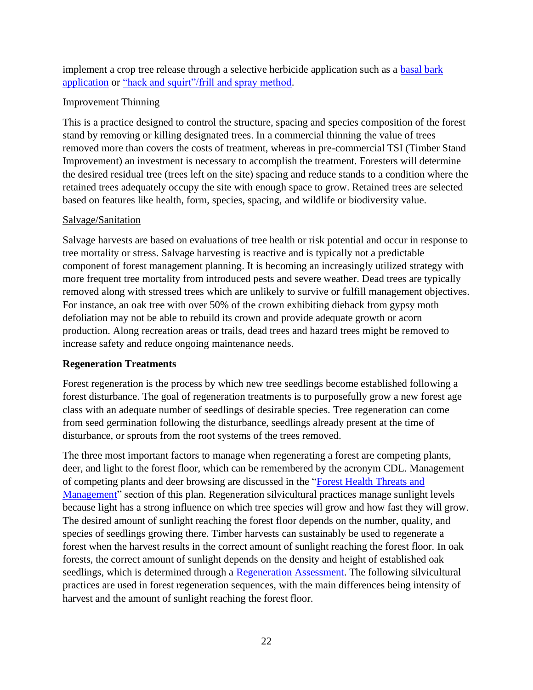implement a crop tree release through a selective herbicide application such as a [basal bark](https://extension.psu.edu/using-basal-bark-herbicide-applications-to-control-understory-tree-species)  [application](https://extension.psu.edu/using-basal-bark-herbicide-applications-to-control-understory-tree-species) or ["hack and squirt"/frill and spray method.](https://extension.psu.edu/using-hack-and-squirt-herbicide-applications-to-control-unwanted-trees)

#### Improvement Thinning

This is a practice designed to control the structure, spacing and species composition of the forest stand by removing or killing designated trees. In a commercial thinning the value of trees removed more than covers the costs of treatment, whereas in pre-commercial TSI (Timber Stand Improvement) an investment is necessary to accomplish the treatment. Foresters will determine the desired residual tree (trees left on the site) spacing and reduce stands to a condition where the retained trees adequately occupy the site with enough space to grow. Retained trees are selected based on features like health, form, species, spacing, and wildlife or biodiversity value.

#### Salvage/Sanitation

Salvage harvests are based on evaluations of tree health or risk potential and occur in response to tree mortality or stress. Salvage harvesting is reactive and is typically not a predictable component of forest management planning. It is becoming an increasingly utilized strategy with more frequent tree mortality from introduced pests and severe weather. Dead trees are typically removed along with stressed trees which are unlikely to survive or fulfill management objectives. For instance, an oak tree with over 50% of the crown exhibiting dieback from gypsy moth defoliation may not be able to rebuild its crown and provide adequate growth or acorn production. Along recreation areas or trails, dead trees and hazard trees might be removed to increase safety and reduce ongoing maintenance needs.

#### **Regeneration Treatments**

Forest regeneration is the process by which new tree seedlings become established following a forest disturbance. The goal of regeneration treatments is to purposefully grow a new forest age class with an adequate number of seedlings of desirable species. Tree regeneration can come from seed germination following the disturbance, seedlings already present at the time of disturbance, or sprouts from the root systems of the trees removed.

The three most important factors to manage when regenerating a forest are competing plants, deer, and light to the forest floor, which can be remembered by the acronym CDL. Management of competing plants and deer browsing are discussed in the ["Forest Health Threats and](#page-13-0)  [Management"](#page-13-0) section of this plan. Regeneration silvicultural practices manage sunlight levels because light has a strong influence on which tree species will grow and how fast they will grow. The desired amount of sunlight reaching the forest floor depends on the number, quality, and species of seedlings growing there. Timber harvests can sustainably be used to regenerate a forest when the harvest results in the correct amount of sunlight reaching the forest floor. In oak forests, the correct amount of sunlight depends on the density and height of established oak seedlings, which is determined through a [Regeneration Assessment.](https://ecosystems.psu.edu/research/centers/private-forests/outreach/forest-regeneration/forest-regeneration-assessment-series-3-evaluating-stand-conditions-implementing-and-interpreting-the-regeneration-assessment) The following silvicultural practices are used in forest regeneration sequences, with the main differences being intensity of harvest and the amount of sunlight reaching the forest floor.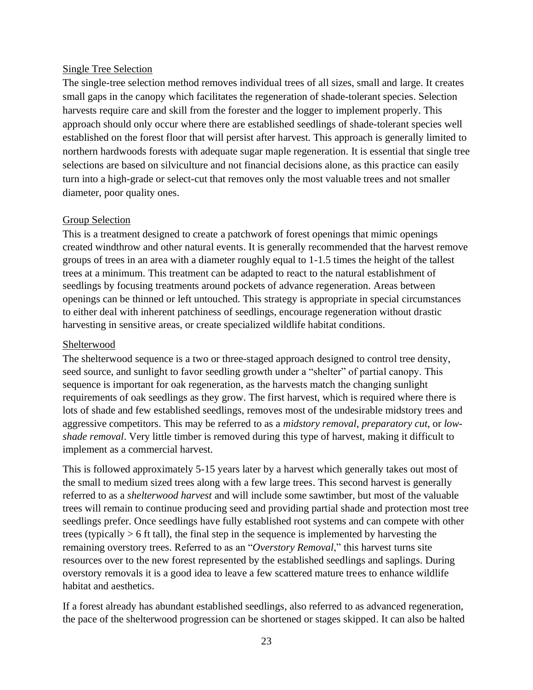#### Single Tree Selection

The single-tree selection method removes individual trees of all sizes, small and large. It creates small gaps in the canopy which facilitates the regeneration of shade-tolerant species. Selection harvests require care and skill from the forester and the logger to implement properly. This approach should only occur where there are established seedlings of shade-tolerant species well established on the forest floor that will persist after harvest. This approach is generally limited to northern hardwoods forests with adequate sugar maple regeneration. It is essential that single tree selections are based on silviculture and not financial decisions alone, as this practice can easily turn into a high-grade or select-cut that removes only the most valuable trees and not smaller diameter, poor quality ones.

#### Group Selection

This is a treatment designed to create a patchwork of forest openings that mimic openings created windthrow and other natural events. It is generally recommended that the harvest remove groups of trees in an area with a diameter roughly equal to 1-1.5 times the height of the tallest trees at a minimum. This treatment can be adapted to react to the natural establishment of seedlings by focusing treatments around pockets of advance regeneration. Areas between openings can be thinned or left untouched. This strategy is appropriate in special circumstances to either deal with inherent patchiness of seedlings, encourage regeneration without drastic harvesting in sensitive areas, or create specialized wildlife habitat conditions.

#### **Shelterwood**

The shelterwood sequence is a two or three-staged approach designed to control tree density, seed source, and sunlight to favor seedling growth under a "shelter" of partial canopy. This sequence is important for oak regeneration, as the harvests match the changing sunlight requirements of oak seedlings as they grow. The first harvest, which is required where there is lots of shade and few established seedlings, removes most of the undesirable midstory trees and aggressive competitors. This may be referred to as a *midstory removal*, *preparatory cut*, or *lowshade removal*. Very little timber is removed during this type of harvest, making it difficult to implement as a commercial harvest.

This is followed approximately 5-15 years later by a harvest which generally takes out most of the small to medium sized trees along with a few large trees. This second harvest is generally referred to as a *shelterwood harvest* and will include some sawtimber, but most of the valuable trees will remain to continue producing seed and providing partial shade and protection most tree seedlings prefer. Once seedlings have fully established root systems and can compete with other trees (typically > 6 ft tall), the final step in the sequence is implemented by harvesting the remaining overstory trees. Referred to as an "*Overstory Removal*," this harvest turns site resources over to the new forest represented by the established seedlings and saplings. During overstory removals it is a good idea to leave a few scattered mature trees to enhance wildlife habitat and aesthetics.

If a forest already has abundant established seedlings, also referred to as advanced regeneration, the pace of the shelterwood progression can be shortened or stages skipped. It can also be halted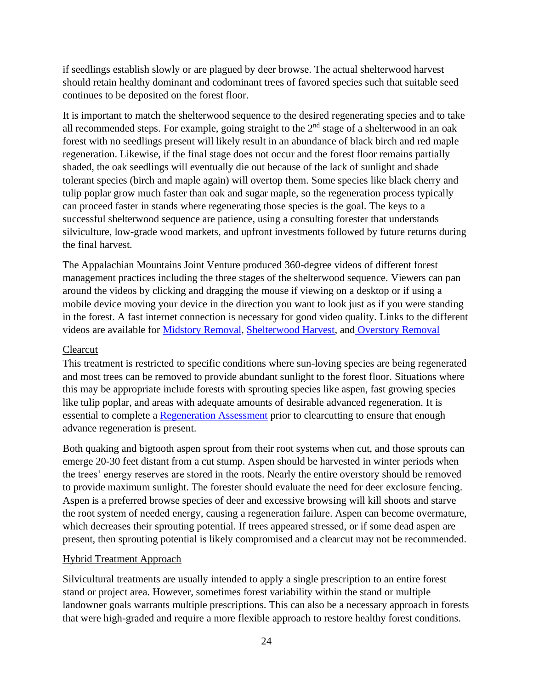if seedlings establish slowly or are plagued by deer browse. The actual shelterwood harvest should retain healthy dominant and codominant trees of favored species such that suitable seed continues to be deposited on the forest floor.

It is important to match the shelterwood sequence to the desired regenerating species and to take all recommended steps. For example, going straight to the  $2<sup>nd</sup>$  stage of a shelterwood in an oak forest with no seedlings present will likely result in an abundance of black birch and red maple regeneration. Likewise, if the final stage does not occur and the forest floor remains partially shaded, the oak seedlings will eventually die out because of the lack of sunlight and shade tolerant species (birch and maple again) will overtop them. Some species like black cherry and tulip poplar grow much faster than oak and sugar maple, so the regeneration process typically can proceed faster in stands where regenerating those species is the goal. The keys to a successful shelterwood sequence are patience, using a consulting forester that understands silviculture, low-grade wood markets, and upfront investments followed by future returns during the final harvest.

The Appalachian Mountains Joint Venture produced 360-degree videos of different forest management practices including the three stages of the shelterwood sequence. Viewers can pan around the videos by clicking and dragging the mouse if viewing on a desktop or if using a mobile device moving your device in the direction you want to look just as if you were standing in the forest. A fast internet connection is necessary for good video quality. Links to the different videos are available for [Midstory Removal,](https://www.youtube.com/watch?v=yrY8vQM28EA) [Shelterwood Harvest,](https://www.youtube.com/watch?v=t_fjS4Aj1s4&t=26s) and [Overstory Removal](https://www.youtube.com/watch?v=IhwBK7PTupI&t=13s)

#### Clearcut

This treatment is restricted to specific conditions where sun-loving species are being regenerated and most trees can be removed to provide abundant sunlight to the forest floor. Situations where this may be appropriate include forests with sprouting species like aspen, fast growing species like tulip poplar, and areas with adequate amounts of desirable advanced regeneration. It is essential to complete a [Regeneration Assessment](https://ecosystems.psu.edu/research/centers/private-forests/outreach/forest-regeneration/forest-regeneration-assessment-series-3-evaluating-stand-conditions-implementing-and-interpreting-the-regeneration-assessment) prior to clearcutting to ensure that enough advance regeneration is present.

Both quaking and bigtooth aspen sprout from their root systems when cut, and those sprouts can emerge 20-30 feet distant from a cut stump. Aspen should be harvested in winter periods when the trees' energy reserves are stored in the roots. Nearly the entire overstory should be removed to provide maximum sunlight. The forester should evaluate the need for deer exclosure fencing. Aspen is a preferred browse species of deer and excessive browsing will kill shoots and starve the root system of needed energy, causing a regeneration failure. Aspen can become overmature, which decreases their sprouting potential. If trees appeared stressed, or if some dead aspen are present, then sprouting potential is likely compromised and a clearcut may not be recommended.

#### Hybrid Treatment Approach

Silvicultural treatments are usually intended to apply a single prescription to an entire forest stand or project area. However, sometimes forest variability within the stand or multiple landowner goals warrants multiple prescriptions. This can also be a necessary approach in forests that were high-graded and require a more flexible approach to restore healthy forest conditions.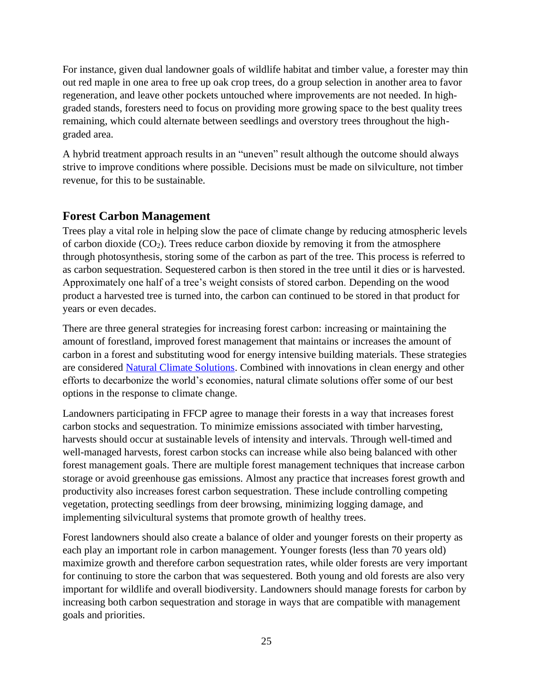For instance, given dual landowner goals of wildlife habitat and timber value, a forester may thin out red maple in one area to free up oak crop trees, do a group selection in another area to favor regeneration, and leave other pockets untouched where improvements are not needed. In highgraded stands, foresters need to focus on providing more growing space to the best quality trees remaining, which could alternate between seedlings and overstory trees throughout the highgraded area.

A hybrid treatment approach results in an "uneven" result although the outcome should always strive to improve conditions where possible. Decisions must be made on silviculture, not timber revenue, for this to be sustainable.

## <span id="page-24-0"></span>**Forest Carbon Management**

Trees play a vital role in helping slow the pace of climate change by reducing atmospheric levels of carbon dioxide  $(CO_2)$ . Trees reduce carbon dioxide by removing it from the atmosphere through photosynthesis, storing some of the carbon as part of the tree. This process is referred to as carbon sequestration. Sequestered carbon is then stored in the tree until it dies or is harvested. Approximately one half of a tree's weight consists of stored carbon. Depending on the wood product a harvested tree is turned into, the carbon can continued to be stored in that product for years or even decades.

There are three general strategies for increasing forest carbon: increasing or maintaining the amount of forestland, improved forest management that maintains or increases the amount of carbon in a forest and substituting wood for energy intensive building materials. These strategies are considered [Natural Climate Solutions.](https://www.nature.org/en-us/what-we-do/our-insights/perspectives/natural-climate-solutions/) Combined with innovations in clean energy and other efforts to decarbonize the world's economies, natural climate solutions offer some of our best options in the response to climate change.

Landowners participating in FFCP agree to manage their forests in a way that increases forest carbon stocks and sequestration. To minimize emissions associated with timber harvesting, harvests should occur at sustainable levels of intensity and intervals. Through well-timed and well-managed harvests, forest carbon stocks can increase while also being balanced with other forest management goals. There are multiple forest management techniques that increase carbon storage or avoid greenhouse gas emissions. Almost any practice that increases forest growth and productivity also increases forest carbon sequestration. These include controlling competing vegetation, protecting seedlings from deer browsing, minimizing logging damage, and implementing silvicultural systems that promote growth of healthy trees.

Forest landowners should also create a balance of older and younger forests on their property as each play an important role in carbon management. Younger forests (less than 70 years old) maximize growth and therefore carbon sequestration rates, while older forests are very important for continuing to store the carbon that was sequestered. Both young and old forests are also very important for wildlife and overall biodiversity. Landowners should manage forests for carbon by increasing both carbon sequestration and storage in ways that are compatible with management goals and priorities.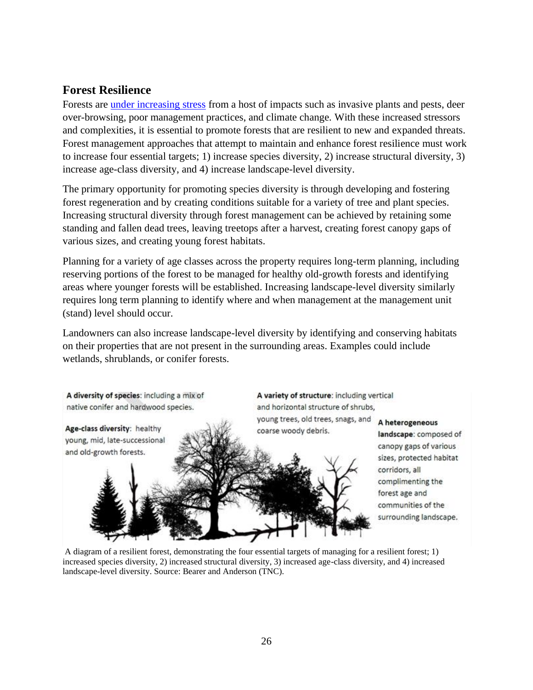## <span id="page-25-0"></span>**Forest Resilience**

Forests are [under increasing stress](https://ecosystems.psu.edu/research/centers/private-forests/news/2020/promoting-forest-resilience-in-a-changing-climate) from a host of impacts such as invasive plants and pests, deer over-browsing, poor management practices, and climate change. With these increased stressors and complexities, it is essential to promote forests that are resilient to new and expanded threats. Forest management approaches that attempt to maintain and enhance forest resilience must work to increase four essential targets; 1) increase species diversity, 2) increase structural diversity, 3) increase age-class diversity, and 4) increase landscape-level diversity.

The primary opportunity for promoting species diversity is through developing and fostering forest regeneration and by creating conditions suitable for a variety of tree and plant species. Increasing structural diversity through forest management can be achieved by retaining some standing and fallen dead trees, leaving treetops after a harvest, creating forest canopy gaps of various sizes, and creating young forest habitats.

Planning for a variety of age classes across the property requires long-term planning, including reserving portions of the forest to be managed for healthy old-growth forests and identifying areas where younger forests will be established. Increasing landscape-level diversity similarly requires long term planning to identify where and when management at the management unit (stand) level should occur.

Landowners can also increase landscape-level diversity by identifying and conserving habitats on their properties that are not present in the surrounding areas. Examples could include wetlands, shrublands, or conifer forests.

A diversity of species: including a mix of native conifer and hardwood species.

Age-class diversity: healthy young, mid, late-successional and old-growth forests.

A variety of structure: including vertical and horizontal structure of shrubs, young trees, old trees, snags, and

coarse woody debris.

A heterogeneous

landscape: composed of canopy gaps of various sizes, protected habitat corridors, all complimenting the forest age and communities of the surrounding landscape.

A diagram of a resilient forest, demonstrating the four essential targets of managing for a resilient forest; 1) increased species diversity, 2) increased structural diversity, 3) increased age-class diversity, and 4) increased landscape-level diversity. Source: Bearer and Anderson (TNC).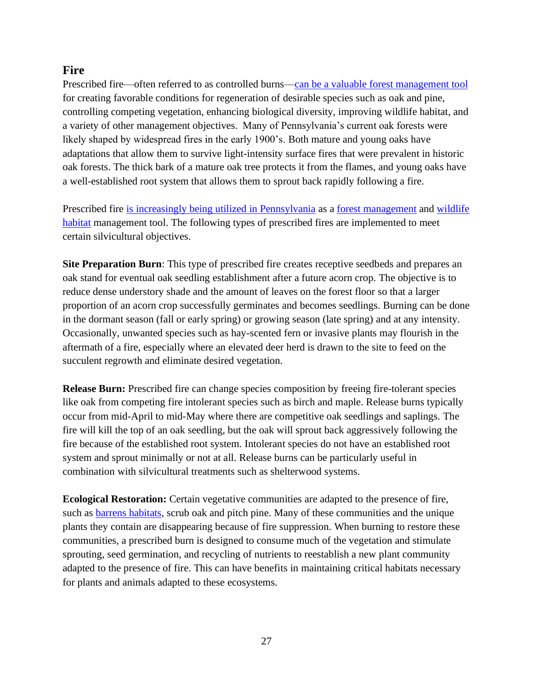## <span id="page-26-0"></span>**Fire**

Prescribed fire—often referred to as controlled burns—can be a [valuable forest management tool](https://extension.psu.edu/prescribed-fire-does-it-have-a-place-on-my-land) for creating favorable conditions for regeneration of desirable species such as oak and pine, controlling competing vegetation, enhancing biological diversity, improving wildlife habitat, and a variety of other management objectives. Many of Pennsylvania's current oak forests were likely shaped by widespread fires in the early 1900's. Both mature and young oaks have adaptations that allow them to survive light-intensity surface fires that were prevalent in historic oak forests. The thick bark of a mature oak tree protects it from the flames, and young oaks have a well-established root system that allows them to sprout back rapidly following a fire.

Prescribed fire [is increasingly being utilized in Pennsylvania](https://news.psu.edu/story/602844/2020/01/03/impact/penn-state-extension-program-help-private-forest-owners-use) as a [forest management](https://www.dcnr.pa.gov/GoodNatured/Pages/Article.aspx?post=43) and [wildlife](https://www.pgc.pa.gov/Wildlife/HabitatManagement/Documents/Prescribed%20Burning%20for%20Better%20Hunting.pdf)  [habitat](https://www.pgc.pa.gov/Wildlife/HabitatManagement/Documents/Prescribed%20Burning%20for%20Better%20Hunting.pdf) management tool. The following types of prescribed fires are implemented to meet certain silvicultural objectives.

**Site Preparation Burn**: This type of prescribed fire creates receptive seedbeds and prepares an oak stand for eventual oak seedling establishment after a future acorn crop. The objective is to reduce dense understory shade and the amount of leaves on the forest floor so that a larger proportion of an acorn crop successfully germinates and becomes seedlings. Burning can be done in the dormant season (fall or early spring) or growing season (late spring) and at any intensity. Occasionally, unwanted species such as hay-scented fern or invasive plants may flourish in the aftermath of a fire, especially where an elevated deer herd is drawn to the site to feed on the succulent regrowth and eliminate desired vegetation.

**Release Burn:** Prescribed fire can change species composition by freeing fire-tolerant species like oak from competing fire intolerant species such as birch and maple. Release burns typically occur from mid-April to mid-May where there are competitive oak seedlings and saplings. The fire will kill the top of an oak seedling, but the oak will sprout back aggressively following the fire because of the established root system. Intolerant species do not have an established root system and sprout minimally or not at all. Release burns can be particularly useful in combination with silvicultural treatments such as shelterwood systems.

**Ecological Restoration:** Certain vegetative communities are adapted to the presence of fire, such as [barrens habitats,](https://www.pgc.pa.gov/Wildlife/HabitatManagement/Documents/Barrens_Chapter.pdf) scrub oak and pitch pine. Many of these communities and the unique plants they contain are disappearing because of fire suppression. When burning to restore these communities, a prescribed burn is designed to consume much of the vegetation and stimulate sprouting, seed germination, and recycling of nutrients to reestablish a new plant community adapted to the presence of fire. This can have benefits in maintaining critical habitats necessary for plants and animals adapted to these ecosystems.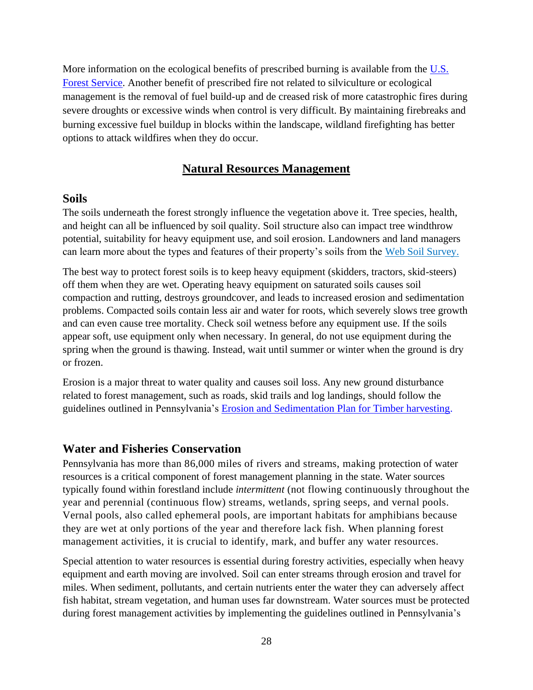More information on the ecological benefits of prescribed burning is available from the U.S. [Forest Service.](https://www.fs.fed.us/nrs/pubs/gtr/gtr_nrs135.pdf) Another benefit of prescribed fire not related to silviculture or ecological management is the removal of fuel build-up and de creased risk of more catastrophic fires during severe droughts or excessive winds when control is very difficult. By maintaining firebreaks and burning excessive fuel buildup in blocks within the landscape, wildland firefighting has better options to attack wildfires when they do occur.

#### **Natural Resources Management**

#### <span id="page-27-1"></span><span id="page-27-0"></span>**Soils**

The soils underneath the forest strongly influence the vegetation above it. Tree species, health, and height can all be influenced by soil quality. Soil structure also can impact tree windthrow potential, suitability for heavy equipment use, and soil erosion. Landowners and land managers can learn more about the types and features of their property's soils from the [Web Soil Survey.](http://websoilsurvey.sc.egov.usda.gov/)

The best way to protect forest soils is to keep heavy equipment (skidders, tractors, skid-steers) off them when they are wet. Operating heavy equipment on saturated soils causes soil compaction and rutting, destroys groundcover, and leads to increased erosion and sedimentation problems. Compacted soils contain less air and water for roots, which severely slows tree growth and can even cause tree mortality. Check soil wetness before any equipment use. If the soils appear soft, use equipment only when necessary. In general, do not use equipment during the spring when the ground is thawing. Instead, wait until summer or winter when the ground is dry or frozen.

Erosion is a major threat to water quality and causes soil loss. Any new ground disturbance related to forest management, such as roads, skid trails and log landings, should follow the guidelines outlined in Pennsylvania's [Erosion and Sedimentation Plan for Timber harvesting.](http://www.depgreenport.state.pa.us/elibrary/GetFolder?FolderID=33505)

#### <span id="page-27-2"></span>**Water and Fisheries Conservation**

Pennsylvania has more than 86,000 miles of rivers and streams, making protection of water resources is a critical component of forest management planning in the state. Water sources typically found within forestland include *intermittent* (not flowing continuously throughout the year and perennial (continuous flow) streams, wetlands, spring seeps, and vernal pools. Vernal pools, also called ephemeral pools, are important habitats for amphibians because they are wet at only portions of the year and therefore lack fish. When planning forest management activities, it is crucial to identify, mark, and buffer any water resources.

Special attention to water resources is essential during forestry activities, especially when heavy equipment and earth moving are involved. Soil can enter streams through erosion and travel for miles. When sediment, pollutants, and certain nutrients enter the water they can adversely affect fish habitat, stream vegetation, and human uses far downstream. Water sources must be protected during forest management activities by implementing the guidelines outlined in Pennsylvania's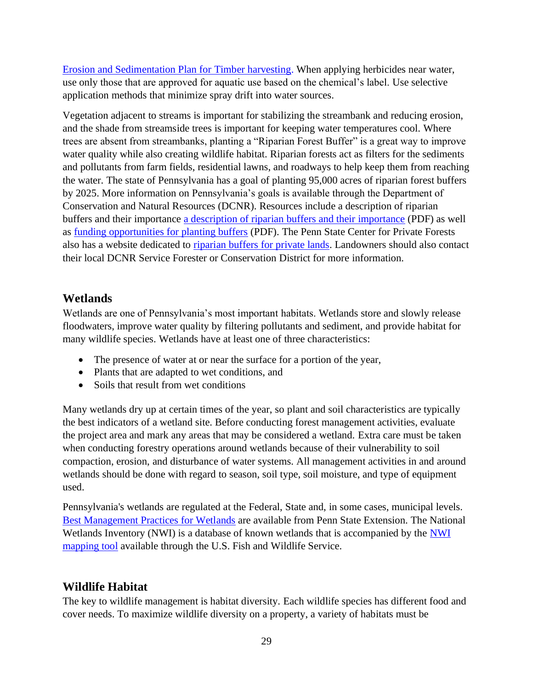[Erosion and Sedimentation Plan for Timber harvesting.](http://www.depgreenport.state.pa.us/elibrary/GetFolder?FolderID=33505) When applying herbicides near water, use only those that are approved for aquatic use based on the chemical's label. Use selective application methods that minimize spray drift into water sources.

Vegetation adjacent to streams is important for stabilizing the streambank and reducing erosion, and the shade from streamside trees is important for keeping water temperatures cool. Where trees are absent from streambanks, planting a "Riparian Forest Buffer" is a great way to improve water quality while also creating wildlife habitat. Riparian forests act as filters for the sediments and pollutants from farm fields, residential lawns, and roadways to help keep them from reaching the water. The state of Pennsylvania has a goal of planting 95,000 acres of riparian forest buffers by 2025. More information on Pennsylvania's goals is available through the Department of Conservation and Natural Resources (DCNR). Resources include a description of riparian buffers and their importance [a description of riparian buffers and their importance](http://www.docs.dcnr.pa.gov/cs/groups/public/documents/document/dcnr_20033640.pdf) (PDF) as well as [funding opportunities for planting buffers](http://www.docs.dcnr.pa.gov/cs/groups/public/documents/document/dcnr_20033641.pdf) (PDF). The Penn State Center for Private Forests also has a website dedicated to [riparian buffers for private lands.](https://ecosystems.psu.edu/research/centers/private-forests/outreach/forested-riparian-buffers) Landowners should also contact their local DCNR Service Forester or Conservation District for more information.

## <span id="page-28-0"></span>**Wetlands**

Wetlands are one of Pennsylvania's most important habitats. Wetlands store and slowly release floodwaters, improve water quality by filtering pollutants and sediment, and provide habitat for many wildlife species. Wetlands have at least one of three characteristics:

- The presence of water at or near the surface for a portion of the year,
- Plants that are adapted to wet conditions, and
- Soils that result from wet conditions

Many wetlands dry up at certain times of the year, so plant and soil characteristics are typically the best indicators of a wetland site. Before conducting forest management activities, evaluate the project area and mark any areas that may be considered a wetland. Extra care must be taken when conducting forestry operations around wetlands because of their vulnerability to soil compaction, erosion, and disturbance of water systems. All management activities in and around wetlands should be done with regard to season, soil type, soil moisture, and type of equipment used.

Pennsylvania's wetlands are regulated at the Federal, State and, in some cases, municipal levels. [Best Management Practices for Wetlands](https://extension.psu.edu/best-management-practices-for-silvicultural-activities-in-forest-wetlands) are available from Penn State Extension. The National Wetlands Inventory (NWI) is a database of known wetlands that is accompanied by the [NWI](https://www.fws.gov/wetlands/Data/Mapper.html)  [mapping tool](https://www.fws.gov/wetlands/Data/Mapper.html) available through the U.S. Fish and Wildlife Service.

## <span id="page-28-1"></span>**Wildlife Habitat**

The key to wildlife management is habitat diversity. Each wildlife species has different food and cover needs. To maximize wildlife diversity on a property, a variety of habitats must be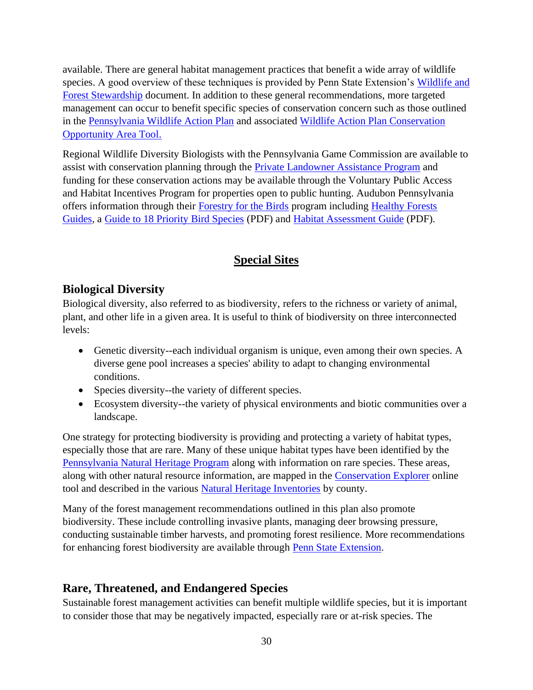available. There are general habitat management practices that benefit a wide array of wildlife species. A good overview of these techniques is provided by Penn State Extension's [Wildlife and](https://extension.psu.edu/forest-stewardship-wildlife)  [Forest Stewardship](https://extension.psu.edu/forest-stewardship-wildlife) document. In addition to these general recommendations, more targeted management can occur to benefit specific species of conservation concern such as those outlined in the [Pennsylvania Wildlife Action Plan](https://www.fishandboat.com/Resource/Documents/SWAP-CHAPTER-0-Exec-Summary.pdf) and associated [Wildlife Action Plan Conservation](https://wildlifeactionmap.pa.gov/)  [Opportunity Area Tool.](https://wildlifeactionmap.pa.gov/)

Regional Wildlife Diversity Biologists with the Pennsylvania Game Commission are available to assist with conservation planning through the **Private Landowner Assistance Program** and funding for these conservation actions may be available through the Voluntary Public Access and Habitat Incentives Program for properties open to public hunting. Audubon Pennsylvania offers information through their [Forestry for the Birds](https://pa.audubon.org/conservation/forestry-birds) program including [Healthy Forests](https://pa.audubon.org/conservation/healthy-forests-guides)  [Guides,](https://pa.audubon.org/conservation/healthy-forests-guides) a [Guide to 18 Priority Bird Species](https://pa.audubon.org/sites/default/files/audubon_bookletjun163.pdf) (PDF) and [Habitat Assessment Guide](https://pa.audubon.org/sites/default/files/assessment_guide_5.20.14_1.pdf) (PDF).

# **Special Sites**

## <span id="page-29-1"></span><span id="page-29-0"></span>**Biological Diversity**

Biological diversity, also referred to as biodiversity, refers to the richness or variety of animal, plant, and other life in a given area. It is useful to think of biodiversity on three interconnected levels:

- Genetic diversity--each individual organism is unique, even among their own species. A diverse gene pool increases a species' ability to adapt to changing environmental conditions.
- Species diversity--the variety of different species.
- Ecosystem diversity--the variety of physical environments and biotic communities over a landscape.

One strategy for protecting biodiversity is providing and protecting a variety of habitat types, especially those that are rare. Many of these unique habitat types have been identified by the [Pennsylvania Natural Heritage Program](http://www.naturalheritage.state.pa.us/Default.aspx) along with information on rare species. These areas, along with other natural resource information, are mapped in the [Conservation Explorer](https://conservationexplorer.dcnr.pa.gov/content/Map) online tool and described in the various [Natural Heritage Inventories](http://www.naturalheritage.state.pa.us/inventories.aspx) by county.

Many of the forest management recommendations outlined in this plan also promote biodiversity. These include controlling invasive plants, managing deer browsing pressure, conducting sustainable timber harvests, and promoting forest resilience. More recommendations for enhancing forest biodiversity are available through [Penn State Extension.](https://extension.psu.edu/forest-biodiversity-understanding-biological-health-in-our-forests)

# <span id="page-29-2"></span>**Rare, Threatened, and Endangered Species**

Sustainable forest management activities can benefit multiple wildlife species, but it is important to consider those that may be negatively impacted, especially rare or at-risk species. The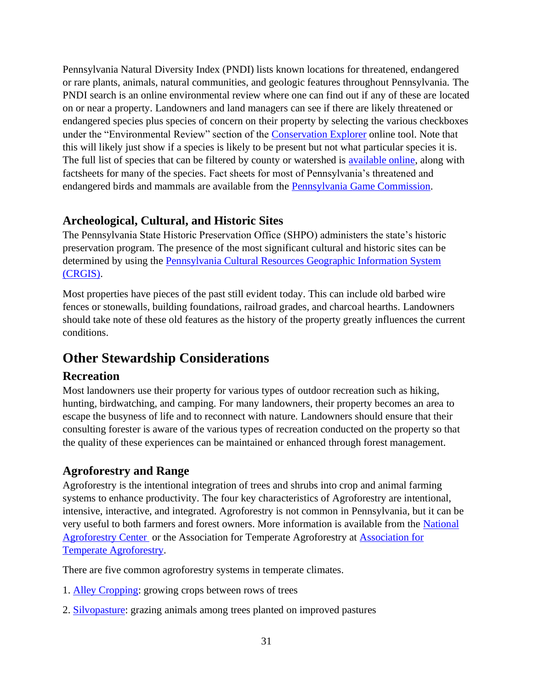Pennsylvania Natural Diversity Index (PNDI) lists known locations for threatened, endangered or rare plants, animals, natural communities, and geologic features throughout Pennsylvania. The PNDI search is an online environmental review where one can find out if any of these are located on or near a property. Landowners and land managers can see if there are likely threatened or endangered species plus species of concern on their property by selecting the various checkboxes under the "Environmental Review" section of the [Conservation Explorer](https://conservationexplorer.dcnr.pa.gov/content/Map) online tool. Note that this will likely just show if a species is likely to be present but not what particular species it is. The full list of species that can be filtered by county or watershed is [available online,](http://www.naturalheritage.state.pa.us/Species.aspx) along with factsheets for many of the species. Fact sheets for most of Pennsylvania's threatened and endangered birds and mammals are available from the [Pennsylvania Game Commission.](https://www.pgc.pa.gov/Wildlife/EndangeredandThreatened/Pages/default.aspx)

## <span id="page-30-0"></span>**Archeological, Cultural, and Historic Sites**

The Pennsylvania State Historic Preservation Office (SHPO) administers the state's historic preservation program. The presence of the most significant cultural and historic sites can be determined by using the [Pennsylvania Cultural Resources Geographic Information System](https://gis.penndot.gov/crgis)  [\(CRGIS\).](https://gis.penndot.gov/crgis)

Most properties have pieces of the past still evident today. This can include old barbed wire fences or stonewalls, building foundations, railroad grades, and charcoal hearths. Landowners should take note of these old features as the history of the property greatly influences the current conditions.

# <span id="page-30-1"></span>**Other Stewardship Considerations**

## <span id="page-30-2"></span>**Recreation**

Most landowners use their property for various types of outdoor recreation such as hiking, hunting, birdwatching, and camping. For many landowners, their property becomes an area to escape the busyness of life and to reconnect with nature. Landowners should ensure that their consulting forester is aware of the various types of recreation conducted on the property so that the quality of these experiences can be maintained or enhanced through forest management.

## <span id="page-30-3"></span>**Agroforestry and Range**

Agroforestry is the intentional integration of trees and shrubs into crop and animal farming systems to enhance productivity. The four key characteristics of Agroforestry are intentional, intensive, interactive, and integrated. Agroforestry is not common in Pennsylvania, but it can be very useful to both farmers and forest owners. More information is available from the [National](http://www.fs.usda.gov/nac)  [Agroforestry Center](http://www.fs.usda.gov/nac) or the Association for Temperate Agroforestry at [Association for](file:///C:/Users/kevin.yoder/Box/A_Personal/FFCP/Central%20Apps%20Pilot/FMP/Landscape%20Plan/aftaweb.org)  [Temperate Agroforestry.](file:///C:/Users/kevin.yoder/Box/A_Personal/FFCP/Central%20Apps%20Pilot/FMP/Landscape%20Plan/aftaweb.org)

There are five common agroforestry systems in temperate climates.

- 1. [Alley Cropping:](https://www.fs.usda.gov/nac/practices/alley-cropping.php) growing crops between rows of trees
- 2. [Silvopasture:](https://www.fs.usda.gov/nac/practices/silvopasture.php) grazing animals among trees planted on improved pastures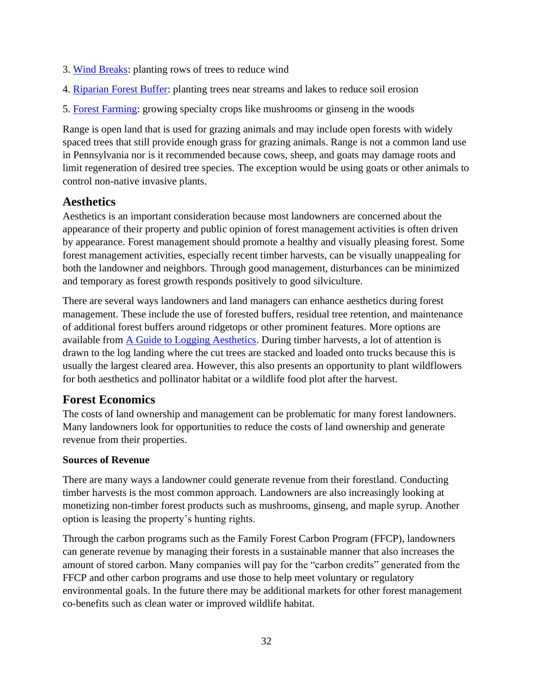- 3. [Wind Breaks:](https://www.fs.usda.gov/nac/practices/windbreaks.php) planting rows of trees to reduce wind
- 4. [Riparian Forest Buffer:](https://www.fs.usda.gov/nac/practices/riparian-forest-buffers.php) planting trees near streams and lakes to reduce soil erosion
- 5. [Forest Farming:](https://www.fs.usda.gov/nac/practices/forest-farming.php) growing specialty crops like mushrooms or ginseng in the woods

Range is open land that is used for grazing animals and may include open forests with widely spaced trees that still provide enough grass for grazing animals. Range is not a common land use in Pennsylvania nor is it recommended because cows, sheep, and goats may damage roots and limit regeneration of desired tree species. The exception would be using goats or other animals to control non-native invasive plants.

## <span id="page-31-0"></span>**Aesthetics**

Aesthetics is an important consideration because most landowners are concerned about the appearance of their property and public opinion of forest management activities is often driven by appearance. Forest management should promote a healthy and visually pleasing forest. Some forest management activities, especially recent timber harvests, can be visually unappealing for both the landowner and neighbors. Through good management, disturbances can be minimized and temporary as forest growth responds positively to good silviculture.

There are several ways landowners and land managers can enhance aesthetics during forest management. These include the use of forested buffers, residual tree retention, and maintenance of additional forest buffers around ridgetops or other prominent features. More options are available from [A Guide to Logging Aesthetics.](https://forestsociety.org/sites/default/files/Logging_Aesthetics_compressed.pdf) During timber harvests, a lot of attention is drawn to the log landing where the cut trees are stacked and loaded onto trucks because this is usually the largest cleared area. However, this also presents an opportunity to plant wildflowers for both aesthetics and pollinator habitat or a wildlife food plot after the harvest.

## <span id="page-31-1"></span>**Forest Economics**

The costs of land ownership and management can be problematic for many forest landowners. Many landowners look for opportunities to reduce the costs of land ownership and generate revenue from their properties.

### **Sources of Revenue**

There are many ways a landowner could generate revenue from their forestland. Conducting timber harvests is the most common approach. Landowners are also increasingly looking at monetizing non-timber forest products such as mushrooms, ginseng, and maple syrup. Another option is leasing the property's hunting rights.

Through the carbon programs such as the Family Forest Carbon Program (FFCP), landowners can generate revenue by managing their forests in a sustainable manner that also increases the amount of stored carbon. Many companies will pay for the "carbon credits" generated from the FFCP and other carbon programs and use those to help meet voluntary or regulatory environmental goals. In the future there may be additional markets for other forest management co-benefits such as clean water or improved wildlife habitat.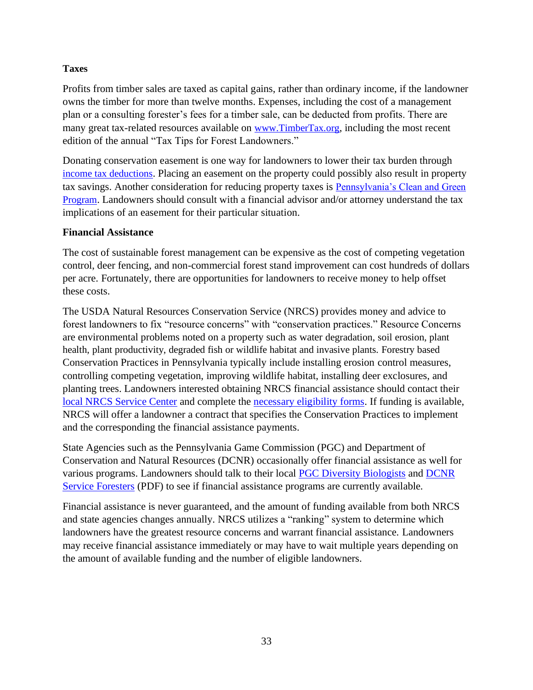#### **Taxes**

Profits from timber sales are taxed as capital gains, rather than ordinary income, if the landowner owns the timber for more than twelve months. Expenses, including the cost of a management plan or a consulting forester's fees for a timber sale, can be deducted from profits. There are many great tax-related resources available on [www.TimberTax.org](file:///C:/Users/kevin.yoder/Box/A_Personal/FFCP/Central%20Apps%20Pilot/FMP/Landscape%20Plan/www.TimberTax.org), including the most recent edition of the annual "Tax Tips for Forest Landowners."

Donating conservation easement is one way for landowners to lower their tax burden through [income tax deductions](http://www.landtrustalliance.org/topics/taxes/income-tax-incentives-land-conservation). Placing an easement on the property could possibly also result in property tax savings. Another consideration for reducing property taxes is [Pennsylvania's Clean and Green](http://www.agriculture.pa.gov/Plants_Land_Water/farmland/clean/Pages/default.aspx)  [Program](http://www.agriculture.pa.gov/Plants_Land_Water/farmland/clean/Pages/default.aspx). Landowners should consult with a financial advisor and/or attorney understand the tax implications of an easement for their particular situation.

#### **Financial Assistance**

The cost of sustainable forest management can be expensive as the cost of competing vegetation control, deer fencing, and non-commercial forest stand improvement can cost hundreds of dollars per acre. Fortunately, there are opportunities for landowners to receive money to help offset these costs.

The USDA Natural Resources Conservation Service (NRCS) provides money and advice to forest landowners to fix "resource concerns" with "conservation practices." Resource Concerns are environmental problems noted on a property such as water degradation, soil erosion, plant health, plant productivity, degraded fish or wildlife habitat and invasive plants. Forestry based Conservation Practices in Pennsylvania typically include installing erosion control measures, controlling competing vegetation, improving wildlife habitat, installing deer exclosures, and planting trees. Landowners interested obtaining NRCS financial assistance should contact their [local NRCS Service Center](https://www.nrcs.usda.gov/wps/portal/nrcs/main/pa/contact/local/) and complete the [necessary eligibility forms.](https://www.nrcs.usda.gov/wps/portal/nrcs/detail/national/soils/health/?cid=nrcs144p2_015651) If funding is available, NRCS will offer a landowner a contract that specifies the Conservation Practices to implement and the corresponding the financial assistance payments.

State Agencies such as the Pennsylvania Game Commission (PGC) and Department of Conservation and Natural Resources (DCNR) occasionally offer financial assistance as well for various programs. Landowners should talk to their local [PGC Diversity Biologists](https://www.pgc.pa.gov/InformationResources/GetInvolved/LandownerPrograms/Pages/PrivateLandownerAssistanceProgram.aspx) and [DCNR](http://www.docs.dcnr.pa.gov/cs/groups/public/documents/document/dcnr_20033843.pdf)  [Service Foresters](http://www.docs.dcnr.pa.gov/cs/groups/public/documents/document/dcnr_20033843.pdf) (PDF) to see if financial assistance programs are currently available.

Financial assistance is never guaranteed, and the amount of funding available from both NRCS and state agencies changes annually. NRCS utilizes a "ranking" system to determine which landowners have the greatest resource concerns and warrant financial assistance. Landowners may receive financial assistance immediately or may have to wait multiple years depending on the amount of available funding and the number of eligible landowners.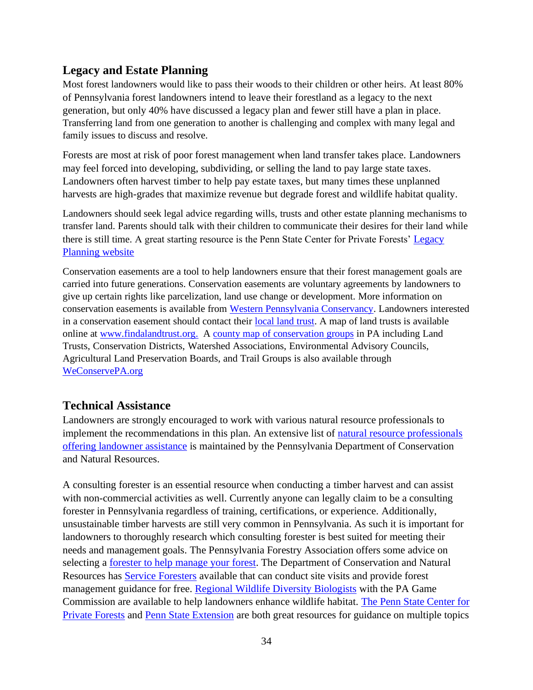## <span id="page-33-0"></span>**Legacy and Estate Planning**

Most forest landowners would like to pass their woods to their children or other heirs. At least 80% of Pennsylvania forest landowners intend to leave their forestland as a legacy to the next generation, but only 40% have discussed a legacy plan and fewer still have a plan in place. Transferring land from one generation to another is challenging and complex with many legal and family issues to discuss and resolve.

Forests are most at risk of poor forest management when land transfer takes place. Landowners may feel forced into developing, subdividing, or selling the land to pay large state taxes. Landowners often harvest timber to help pay estate taxes, but many times these unplanned harvests are high-grades that maximize revenue but degrade forest and wildlife habitat quality.

Landowners should seek legal advice regarding wills, trusts and other estate planning mechanisms to transfer land. Parents should talk with their children to communicate their desires for their land while there is still time. A great starting resource is the Penn State Center for Private Forests' [Legacy](file:///C:/Users/kevin.yoder/Box/A_Personal/FFCP/Central%20Apps%20Pilot/FMP/Landscape%20Plan/ecosystems.psu.edu/legacy)  [Planning website](file:///C:/Users/kevin.yoder/Box/A_Personal/FFCP/Central%20Apps%20Pilot/FMP/Landscape%20Plan/ecosystems.psu.edu/legacy)

Conservation easements are a tool to help landowners ensure that their forest management goals are carried into future generations. Conservation easements are voluntary agreements by landowners to give up certain rights like parcelization, land use change or development. More information on conservation easements is available from [Western Pennsylvania Conservancy.](https://waterlandlife.org/land-conservation/conservation-easements/) Landowners interested in a conservation easement should contact their [local land trust.](https://www.landtrustalliance.org/) A map of land trusts is available online at [www.findalandtrust.org.](http://www.findalandtrust.org/) A [county map of conservation groups](https://weconservepa.org/find-a-group/) in PA including Land Trusts, Conservation Districts, Watershed Associations, Environmental Advisory Councils, Agricultural Land Preservation Boards, and Trail Groups is also available through [WeConservePA.org](https://weconservepa.org/)

### <span id="page-33-1"></span>**Technical Assistance**

Landowners are strongly encouraged to work with various natural resource professionals to implement the recommendations in this plan. An extensive list of [natural resource professionals](https://maps.dcnr.pa.gov/landownerassist/)  [offering landowner assistance](https://maps.dcnr.pa.gov/landownerassist/) is maintained by the Pennsylvania Department of Conservation and Natural Resources.

A consulting forester is an essential resource when conducting a timber harvest and can assist with non-commercial activities as well. Currently anyone can legally claim to be a consulting forester in Pennsylvania regardless of training, certifications, or experience. Additionally, unsustainable timber harvests are still very common in Pennsylvania. As such it is important for landowners to thoroughly research which consulting forester is best suited for meeting their needs and management goals. The Pennsylvania Forestry Association offers some advice on selecting a [forester to help manage your forest.](http://paforestry.org/landowners/manage-my-forest/) The Department of Conservation and Natural Resources has [Service Foresters](https://www.dcnr.pa.gov/Conservation/ForestsAndTrees/ManagingYourWoods/Pages/default.aspx) available that can conduct site visits and provide forest management guidance for free. [Regional Wildlife Diversity Biologists](https://www.pgc.pa.gov/InformationResources/GetInvolved/LandownerPrograms/Pages/PrivateLandownerAssistanceProgram.aspx) with the PA Game Commission are available to help landowners enhance wildlife habitat. [The Penn State Center for](https://ecosystems.psu.edu/research/centers/private-forests)  [Private Forests](https://ecosystems.psu.edu/research/centers/private-forests) and [Penn State Extension](https://extension.psu.edu/forests-and-wildlife) are both great resources for guidance on multiple topics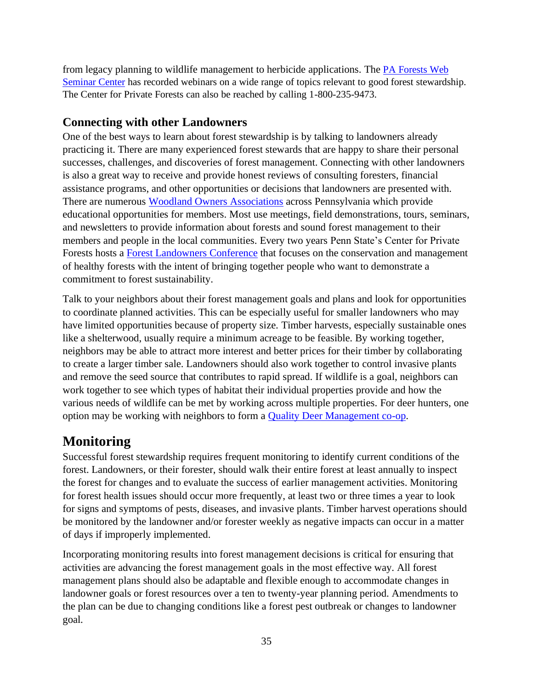from legacy planning to wildlife management to herbicide applications. The [PA Forests Web](https://ecosystems.psu.edu/research/centers/private-forests/outreach/pa-forests-web-seminar-center)  [Seminar Center](https://ecosystems.psu.edu/research/centers/private-forests/outreach/pa-forests-web-seminar-center) has recorded webinars on a wide range of topics relevant to good forest stewardship. The Center for Private Forests can also be reached by calling 1-800-235-9473.

## <span id="page-34-0"></span>**Connecting with other Landowners**

One of the best ways to learn about forest stewardship is by talking to landowners already practicing it. There are many experienced forest stewards that are happy to share their personal successes, challenges, and discoveries of forest management. Connecting with other landowners is also a great way to receive and provide honest reviews of consulting foresters, financial assistance programs, and other opportunities or decisions that landowners are presented with. There are numerous [Woodland Owners Associations](https://ecosystems.psu.edu/research/centers/private-forests/outreach/woodland-owners-associations) across Pennsylvania which provide educational opportunities for members. Most use meetings, field demonstrations, tours, seminars, and newsletters to provide information about forests and sound forest management to their members and people in the local communities. Every two years Penn State's Center for Private Forests hosts a [Forest Landowners Conference](https://ecosystems.psu.edu/research/centers/private-forests/outreach/conferences) that focuses on the conservation and management of healthy forests with the intent of bringing together people who want to demonstrate a commitment to forest sustainability.

Talk to your neighbors about their forest management goals and plans and look for opportunities to coordinate planned activities. This can be especially useful for smaller landowners who may have limited opportunities because of property size. Timber harvests, especially sustainable ones like a shelterwood, usually require a minimum acreage to be feasible. By working together, neighbors may be able to attract more interest and better prices for their timber by collaborating to create a larger timber sale. Landowners should also work together to control invasive plants and remove the seed source that contributes to rapid spread. If wildlife is a goal, neighbors can work together to see which types of habitat their individual properties provide and how the various needs of wildlife can be met by working across multiple properties. For deer hunters, one option may be working with neighbors to form a [Quality Deer Management co-op.](https://www.qdma.com/coop/)

# <span id="page-34-1"></span>**Monitoring**

Successful forest stewardship requires frequent monitoring to identify current conditions of the forest. Landowners, or their forester, should walk their entire forest at least annually to inspect the forest for changes and to evaluate the success of earlier management activities. Monitoring for forest health issues should occur more frequently, at least two or three times a year to look for signs and symptoms of pests, diseases, and invasive plants. Timber harvest operations should be monitored by the landowner and/or forester weekly as negative impacts can occur in a matter of days if improperly implemented.

Incorporating monitoring results into forest management decisions is critical for ensuring that activities are advancing the forest management goals in the most effective way. All forest management plans should also be adaptable and flexible enough to accommodate changes in landowner goals or forest resources over a ten to twenty-year planning period. Amendments to the plan can be due to changing conditions like a forest pest outbreak or changes to landowner goal.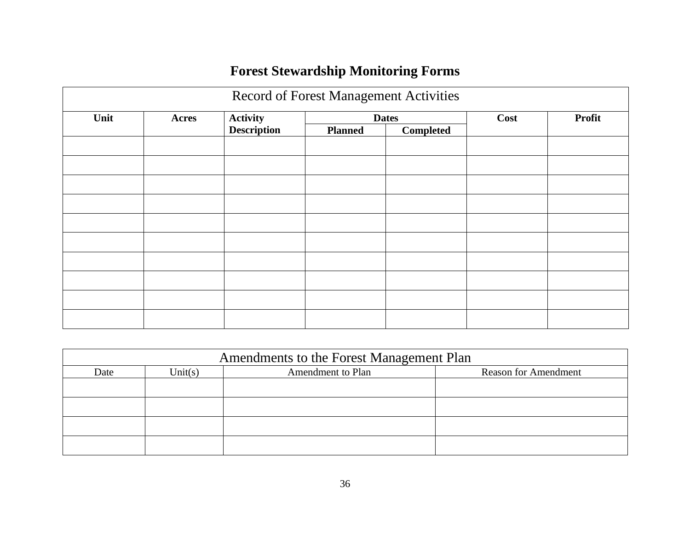# **Forest Stewardship Monitoring Forms**

| Record of Forest Management Activities |       |                    |                |           |      |               |
|----------------------------------------|-------|--------------------|----------------|-----------|------|---------------|
| Unit                                   | Acres | <b>Activity</b>    | <b>Dates</b>   |           | Cost | <b>Profit</b> |
|                                        |       | <b>Description</b> | <b>Planned</b> | Completed |      |               |
|                                        |       |                    |                |           |      |               |
|                                        |       |                    |                |           |      |               |
|                                        |       |                    |                |           |      |               |
|                                        |       |                    |                |           |      |               |
|                                        |       |                    |                |           |      |               |
|                                        |       |                    |                |           |      |               |
|                                        |       |                    |                |           |      |               |
|                                        |       |                    |                |           |      |               |
|                                        |       |                    |                |           |      |               |
|                                        |       |                    |                |           |      |               |

| Amendments to the Forest Management Plan |         |                   |                             |  |
|------------------------------------------|---------|-------------------|-----------------------------|--|
| Date                                     | Unit(s) | Amendment to Plan | <b>Reason for Amendment</b> |  |
|                                          |         |                   |                             |  |
|                                          |         |                   |                             |  |
|                                          |         |                   |                             |  |
|                                          |         |                   |                             |  |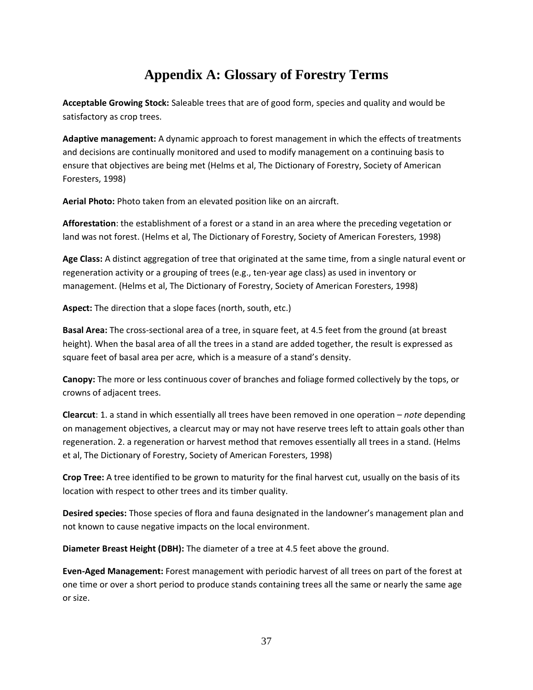# **Appendix A: Glossary of Forestry Terms**

<span id="page-36-0"></span>**Acceptable Growing Stock:** Saleable trees that are of good form, species and quality and would be satisfactory as crop trees.

**Adaptive management:** A dynamic approach to forest management in which the effects of treatments and decisions are continually monitored and used to modify management on a continuing basis to ensure that objectives are being met (Helms et al, The Dictionary of Forestry, Society of American Foresters, 1998)

**Aerial Photo:** Photo taken from an elevated position like on an aircraft.

**Afforestation**: the establishment of a forest or a stand in an area where the preceding vegetation or land was not forest. (Helms et al, The Dictionary of Forestry, Society of American Foresters, 1998)

**Age Class:** A distinct aggregation of tree that originated at the same time, from a single natural event or regeneration activity or a grouping of trees (e.g., ten-year age class) as used in inventory or management. (Helms et al, The Dictionary of Forestry, Society of American Foresters, 1998)

**Aspect:** The direction that a slope faces (north, south, etc.)

**Basal Area:** The cross-sectional area of a tree, in square feet, at 4.5 feet from the ground (at breast height). When the basal area of all the trees in a stand are added together, the result is expressed as square feet of basal area per acre, which is a measure of a stand's density.

**Canopy:** The more or less continuous cover of branches and foliage formed collectively by the tops, or crowns of adjacent trees.

**Clearcut**: 1. a stand in which essentially all trees have been removed in one operation – *note* depending on management objectives, a clearcut may or may not have reserve trees left to attain goals other than regeneration. 2. a regeneration or harvest method that removes essentially all trees in a stand. (Helms et al, The Dictionary of Forestry, Society of American Foresters, 1998)

**Crop Tree:** A tree identified to be grown to maturity for the final harvest cut, usually on the basis of its location with respect to other trees and its timber quality.

**Desired species:** Those species of flora and fauna designated in the landowner's management plan and not known to cause negative impacts on the local environment.

**Diameter Breast Height (DBH):** The diameter of a tree at 4.5 feet above the ground.

**Even-Aged Management:** Forest management with periodic harvest of all trees on part of the forest at one time or over a short period to produce stands containing trees all the same or nearly the same age or size.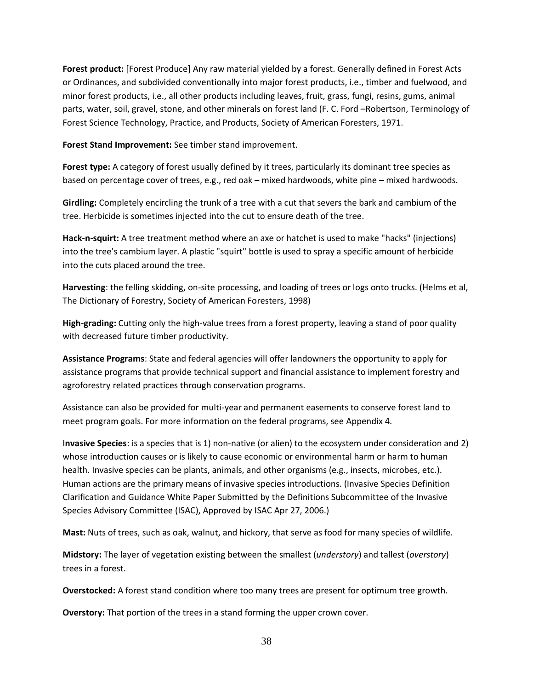**Forest product:** [Forest Produce] Any raw material yielded by a forest. Generally defined in Forest Acts or Ordinances, and subdivided conventionally into major forest products, i.e., timber and fuelwood, and minor forest products, i.e., all other products including leaves, fruit, grass, fungi, resins, gums, animal parts, water, soil, gravel, stone, and other minerals on forest land (F. C. Ford –Robertson, Terminology of Forest Science Technology, Practice, and Products, Society of American Foresters, 1971.

**Forest Stand Improvement:** See timber stand improvement.

**Forest type:** A category of forest usually defined by it trees, particularly its dominant tree species as based on percentage cover of trees, e.g., red oak – mixed hardwoods, white pine – mixed hardwoods.

**Girdling:** Completely encircling the trunk of a tree with a cut that severs the bark and cambium of the tree. Herbicide is sometimes injected into the cut to ensure death of the tree.

**Hack-n-squirt:** A tree treatment method where an axe or hatchet is used to make "hacks" (injections) into the tree's cambium layer. A plastic "squirt" bottle is used to spray a specific amount of herbicide into the cuts placed around the tree.

**Harvesting**: the felling skidding, on-site processing, and loading of trees or logs onto trucks. (Helms et al, The Dictionary of Forestry, Society of American Foresters, 1998)

**High-grading:** Cutting only the high-value trees from a forest property, leaving a stand of poor quality with decreased future timber productivity.

**Assistance Programs**: State and federal agencies will offer landowners the opportunity to apply for assistance programs that provide technical support and financial assistance to implement forestry and agroforestry related practices through conservation programs.

Assistance can also be provided for multi-year and permanent easements to conserve forest land to meet program goals. For more information on the federal programs, see Appendix 4.

I**nvasive Species**: is a species that is 1) non-native (or alien) to the ecosystem under consideration and 2) whose introduction causes or is likely to cause economic or environmental harm or harm to human health. Invasive species can be plants, animals, and other organisms (e.g., insects, microbes, etc.). Human actions are the primary means of invasive species introductions. (Invasive Species Definition Clarification and Guidance White Paper Submitted by the Definitions Subcommittee of the Invasive Species Advisory Committee (ISAC), Approved by ISAC Apr 27, 2006.)

**Mast:** Nuts of trees, such as oak, walnut, and hickory, that serve as food for many species of wildlife.

**Midstory:** The layer of vegetation existing between the smallest (*understory*) and tallest (*overstory*) trees in a forest.

**Overstocked:** A forest stand condition where too many trees are present for optimum tree growth.

**Overstory:** That portion of the trees in a stand forming the upper crown cover.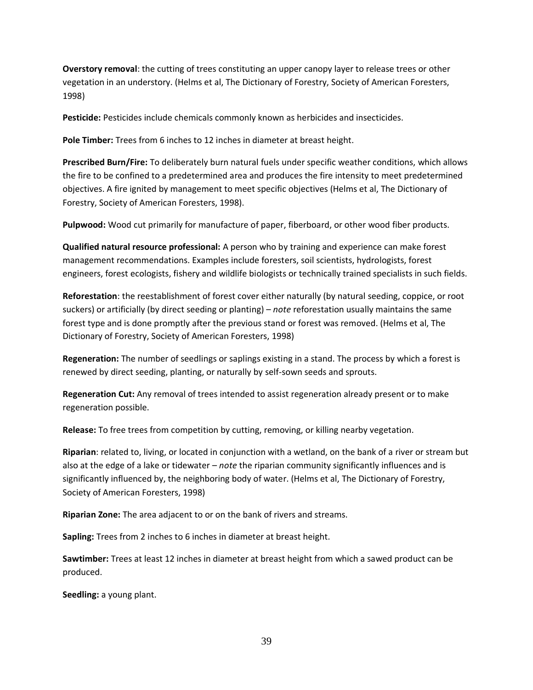**Overstory removal**: the cutting of trees constituting an upper canopy layer to release trees or other vegetation in an understory. (Helms et al, The Dictionary of Forestry, Society of American Foresters, 1998)

Pesticide: Pesticides include chemicals commonly known as herbicides and insecticides.

**Pole Timber:** Trees from 6 inches to 12 inches in diameter at breast height.

**Prescribed Burn/Fire:** To deliberately burn natural fuels under specific weather conditions, which allows the fire to be confined to a predetermined area and produces the fire intensity to meet predetermined objectives. A fire ignited by management to meet specific objectives (Helms et al, The Dictionary of Forestry, Society of American Foresters, 1998).

**Pulpwood:** Wood cut primarily for manufacture of paper, fiberboard, or other wood fiber products.

**Qualified natural resource professional:** A person who by training and experience can make forest management recommendations. Examples include foresters, soil scientists, hydrologists, forest engineers, forest ecologists, fishery and wildlife biologists or technically trained specialists in such fields.

**Reforestation**: the reestablishment of forest cover either naturally (by natural seeding, coppice, or root suckers) or artificially (by direct seeding or planting) – *note* reforestation usually maintains the same forest type and is done promptly after the previous stand or forest was removed. (Helms et al, The Dictionary of Forestry, Society of American Foresters, 1998)

**Regeneration:** The number of seedlings or saplings existing in a stand. The process by which a forest is renewed by direct seeding, planting, or naturally by self-sown seeds and sprouts.

**Regeneration Cut:** Any removal of trees intended to assist regeneration already present or to make regeneration possible.

**Release:** To free trees from competition by cutting, removing, or killing nearby vegetation.

**Riparian**: related to, living, or located in conjunction with a wetland, on the bank of a river or stream but also at the edge of a lake or tidewater – *note* the riparian community significantly influences and is significantly influenced by, the neighboring body of water. (Helms et al, The Dictionary of Forestry, Society of American Foresters, 1998)

**Riparian Zone:** The area adjacent to or on the bank of rivers and streams.

**Sapling:** Trees from 2 inches to 6 inches in diameter at breast height.

**Sawtimber:** Trees at least 12 inches in diameter at breast height from which a sawed product can be produced.

**Seedling:** a young plant.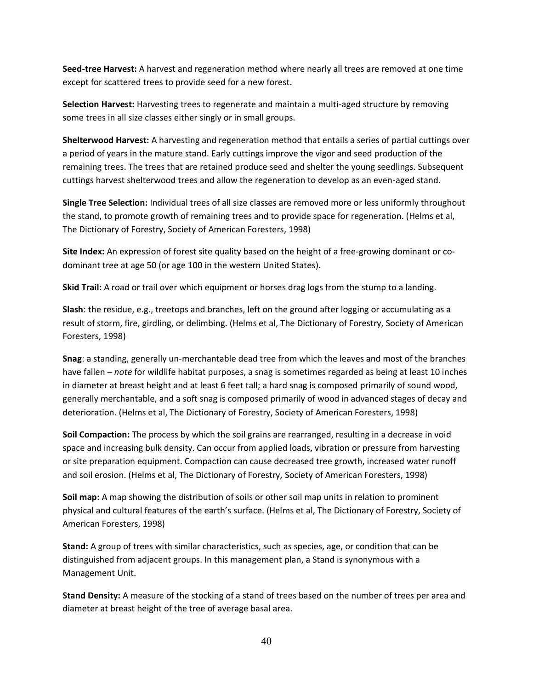**Seed-tree Harvest:** A harvest and regeneration method where nearly all trees are removed at one time except for scattered trees to provide seed for a new forest.

**Selection Harvest:** Harvesting trees to regenerate and maintain a multi-aged structure by removing some trees in all size classes either singly or in small groups.

**Shelterwood Harvest:** A harvesting and regeneration method that entails a series of partial cuttings over a period of years in the mature stand. Early cuttings improve the vigor and seed production of the remaining trees. The trees that are retained produce seed and shelter the young seedlings. Subsequent cuttings harvest shelterwood trees and allow the regeneration to develop as an even-aged stand.

**Single Tree Selection:** Individual trees of all size classes are removed more or less uniformly throughout the stand, to promote growth of remaining trees and to provide space for regeneration. (Helms et al, The Dictionary of Forestry, Society of American Foresters, 1998)

**Site Index:** An expression of forest site quality based on the height of a free-growing dominant or codominant tree at age 50 (or age 100 in the western United States).

**Skid Trail:** A road or trail over which equipment or horses drag logs from the stump to a landing.

**Slash**: the residue, e.g., treetops and branches, left on the ground after logging or accumulating as a result of storm, fire, girdling, or delimbing. (Helms et al, The Dictionary of Forestry, Society of American Foresters, 1998)

**Snag**: a standing, generally un-merchantable dead tree from which the leaves and most of the branches have fallen – *note* for wildlife habitat purposes, a snag is sometimes regarded as being at least 10 inches in diameter at breast height and at least 6 feet tall; a hard snag is composed primarily of sound wood, generally merchantable, and a soft snag is composed primarily of wood in advanced stages of decay and deterioration. (Helms et al, The Dictionary of Forestry, Society of American Foresters, 1998)

**Soil Compaction:** The process by which the soil grains are rearranged, resulting in a decrease in void space and increasing bulk density. Can occur from applied loads, vibration or pressure from harvesting or site preparation equipment. Compaction can cause decreased tree growth, increased water runoff and soil erosion. (Helms et al, The Dictionary of Forestry, Society of American Foresters, 1998)

**Soil map:** A map showing the distribution of soils or other soil map units in relation to prominent physical and cultural features of the earth's surface. (Helms et al, The Dictionary of Forestry, Society of American Foresters, 1998)

**Stand:** A group of trees with similar characteristics, such as species, age, or condition that can be distinguished from adjacent groups. In this management plan, a Stand is synonymous with a Management Unit.

**Stand Density:** A measure of the stocking of a stand of trees based on the number of trees per area and diameter at breast height of the tree of average basal area.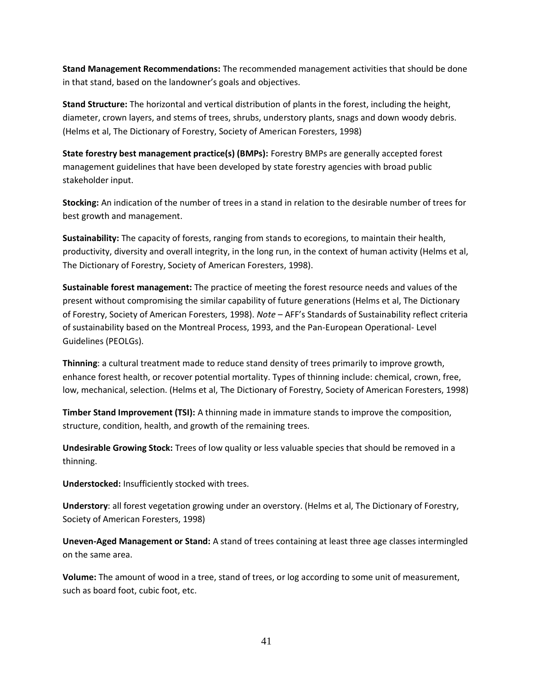**Stand Management Recommendations:** The recommended management activities that should be done in that stand, based on the landowner's goals and objectives.

**Stand Structure:** The horizontal and vertical distribution of plants in the forest, including the height, diameter, crown layers, and stems of trees, shrubs, understory plants, snags and down woody debris. (Helms et al, The Dictionary of Forestry, Society of American Foresters, 1998)

**State forestry best management practice(s) (BMPs):** Forestry BMPs are generally accepted forest management guidelines that have been developed by state forestry agencies with broad public stakeholder input.

**Stocking:** An indication of the number of trees in a stand in relation to the desirable number of trees for best growth and management.

**Sustainability:** The capacity of forests, ranging from stands to ecoregions, to maintain their health, productivity, diversity and overall integrity, in the long run, in the context of human activity (Helms et al, The Dictionary of Forestry, Society of American Foresters, 1998).

**Sustainable forest management:** The practice of meeting the forest resource needs and values of the present without compromising the similar capability of future generations (Helms et al, The Dictionary of Forestry, Society of American Foresters, 1998). *Note* – AFF's Standards of Sustainability reflect criteria of sustainability based on the Montreal Process, 1993, and the Pan-European Operational- Level Guidelines (PEOLGs).

**Thinning**: a cultural treatment made to reduce stand density of trees primarily to improve growth, enhance forest health, or recover potential mortality. Types of thinning include: chemical, crown, free, low, mechanical, selection. (Helms et al, The Dictionary of Forestry, Society of American Foresters, 1998)

**Timber Stand Improvement (TSI):** A thinning made in immature stands to improve the composition, structure, condition, health, and growth of the remaining trees.

**Undesirable Growing Stock:** Trees of low quality or less valuable species that should be removed in a thinning.

**Understocked:** Insufficiently stocked with trees.

**Understory**: all forest vegetation growing under an overstory. (Helms et al, The Dictionary of Forestry, Society of American Foresters, 1998)

**Uneven-Aged Management or Stand:** A stand of trees containing at least three age classes intermingled on the same area.

**Volume:** The amount of wood in a tree, stand of trees, or log according to some unit of measurement, such as board foot, cubic foot, etc.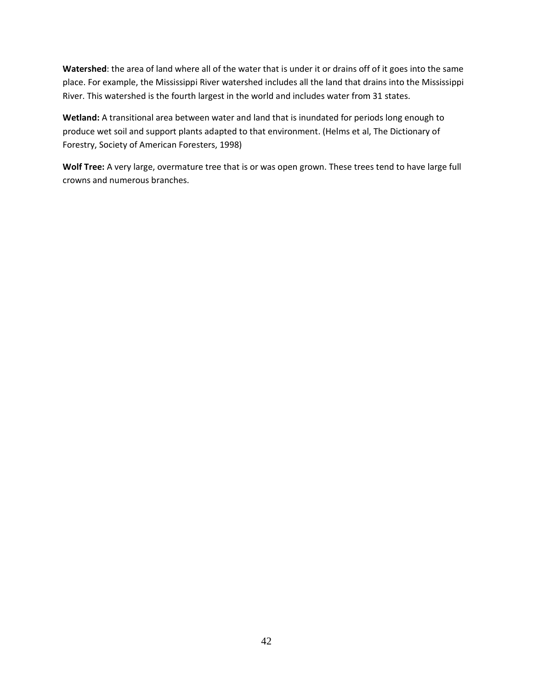**Watershed**: the area of land where all of the water that is under it or drains off of it goes into the same place. For example, the Mississippi River watershed includes all the land that drains into the Mississippi River. This watershed is the fourth largest in the world and includes water from 31 states.

**Wetland:** A transitional area between water and land that is inundated for periods long enough to produce wet soil and support plants adapted to that environment. (Helms et al, The Dictionary of Forestry, Society of American Foresters, 1998)

**Wolf Tree:** A very large, overmature tree that is or was open grown. These trees tend to have large full crowns and numerous branches.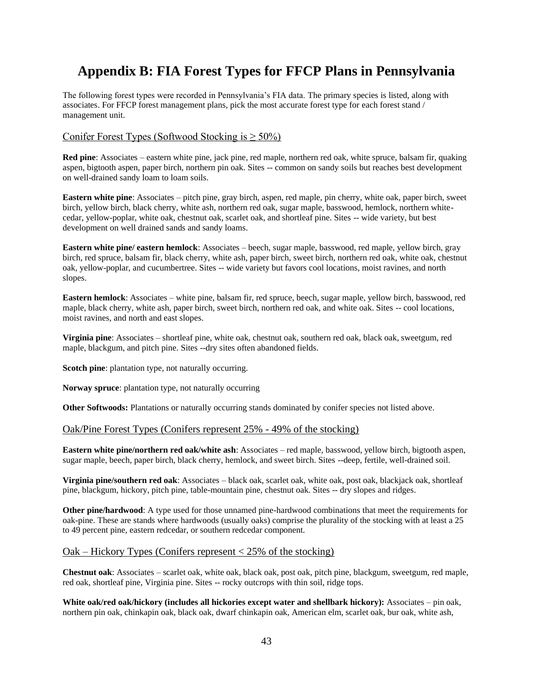# <span id="page-42-0"></span>**Appendix B: FIA Forest Types for FFCP Plans in Pennsylvania**

The following forest types were recorded in Pennsylvania's FIA data. The primary species is listed, along with associates. For FFCP forest management plans, pick the most accurate forest type for each forest stand / management unit.

#### Conifer Forest Types (Softwood Stocking is  $\geq 50\%$ )

**Red pine**: Associates – eastern white pine, jack pine, red maple, northern red oak, white spruce, balsam fir, quaking aspen, bigtooth aspen, paper birch, northern pin oak. Sites -- common on sandy soils but reaches best development on well-drained sandy loam to loam soils.

**Eastern white pine**: Associates – pitch pine, gray birch, aspen, red maple, pin cherry, white oak, paper birch, sweet birch, yellow birch, black cherry, white ash, northern red oak, sugar maple, basswood, hemlock, northern whitecedar, yellow-poplar, white oak, chestnut oak, scarlet oak, and shortleaf pine. Sites -- wide variety, but best development on well drained sands and sandy loams.

**Eastern white pine/ eastern hemlock**: Associates – beech, sugar maple, basswood, red maple, yellow birch, gray birch, red spruce, balsam fir, black cherry, white ash, paper birch, sweet birch, northern red oak, white oak, chestnut oak, yellow-poplar, and cucumbertree. Sites -- wide variety but favors cool locations, moist ravines, and north slopes.

**Eastern hemlock**: Associates – white pine, balsam fir, red spruce, beech, sugar maple, yellow birch, basswood, red maple, black cherry, white ash, paper birch, sweet birch, northern red oak, and white oak. Sites -- cool locations, moist ravines, and north and east slopes.

**Virginia pine**: Associates – shortleaf pine, white oak, chestnut oak, southern red oak, black oak, sweetgum, red maple, blackgum, and pitch pine. Sites --dry sites often abandoned fields.

**Scotch pine**: plantation type, not naturally occurring.

**Norway spruce**: plantation type, not naturally occurring

**Other Softwoods:** Plantations or naturally occurring stands dominated by conifer species not listed above.

#### Oak/Pine Forest Types (Conifers represent 25% - 49% of the stocking)

**Eastern white pine/northern red oak/white ash**: Associates – red maple, basswood, yellow birch, bigtooth aspen, sugar maple, beech, paper birch, black cherry, hemlock, and sweet birch. Sites --deep, fertile, well-drained soil.

**Virginia pine/southern red oak**: Associates – black oak, scarlet oak, white oak, post oak, blackjack oak, shortleaf pine, blackgum, hickory, pitch pine, table-mountain pine, chestnut oak. Sites -- dry slopes and ridges.

**Other pine/hardwood**: A type used for those unnamed pine-hardwood combinations that meet the requirements for oak-pine. These are stands where hardwoods (usually oaks) comprise the plurality of the stocking with at least a 25 to 49 percent pine, eastern redcedar, or southern redcedar component.

#### $Oak - Hickory Types (Conifiers represent < 25% of the stocking)$

**Chestnut oak**: Associates – scarlet oak, white oak, black oak, post oak, pitch pine, blackgum, sweetgum, red maple, red oak, shortleaf pine, Virginia pine. Sites -- rocky outcrops with thin soil, ridge tops.

**White oak/red oak/hickory (includes all hickories except water and shellbark hickory):** Associates – pin oak, northern pin oak, chinkapin oak, black oak, dwarf chinkapin oak, American elm, scarlet oak, bur oak, white ash,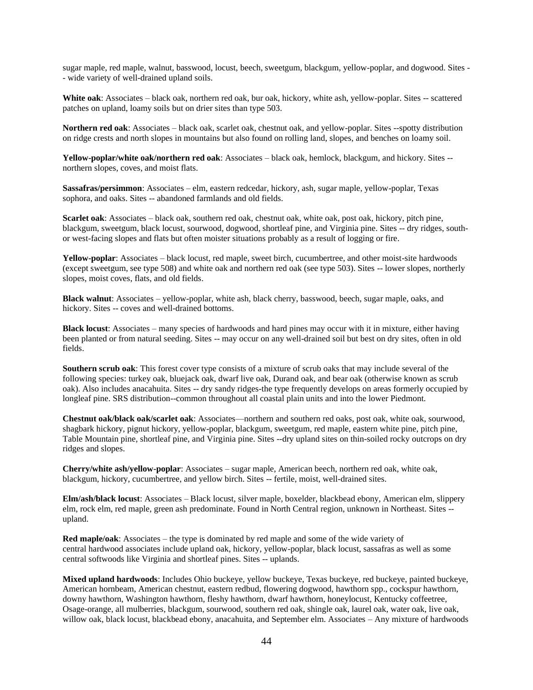sugar maple, red maple, walnut, basswood, locust, beech, sweetgum, blackgum, yellow-poplar, and dogwood. Sites - - wide variety of well-drained upland soils.

**White oak**: Associates – black oak, northern red oak, bur oak, hickory, white ash, yellow-poplar. Sites -- scattered patches on upland, loamy soils but on drier sites than type 503.

**Northern red oak**: Associates – black oak, scarlet oak, chestnut oak, and yellow-poplar. Sites --spotty distribution on ridge crests and north slopes in mountains but also found on rolling land, slopes, and benches on loamy soil.

**Yellow-poplar/white oak/northern red oak**: Associates – black oak, hemlock, blackgum, and hickory. Sites - northern slopes, coves, and moist flats.

**Sassafras/persimmon**: Associates – elm, eastern redcedar, hickory, ash, sugar maple, yellow-poplar, Texas sophora, and oaks. Sites -- abandoned farmlands and old fields.

**Scarlet oak**: Associates – black oak, southern red oak, chestnut oak, white oak, post oak, hickory, pitch pine, blackgum, sweetgum, black locust, sourwood, dogwood, shortleaf pine, and Virginia pine. Sites -- dry ridges, southor west-facing slopes and flats but often moister situations probably as a result of logging or fire.

**Yellow-poplar**: Associates – black locust, red maple, sweet birch, cucumbertree, and other moist-site hardwoods (except sweetgum, see type 508) and white oak and northern red oak (see type 503). Sites -- lower slopes, northerly slopes, moist coves, flats, and old fields.

**Black walnut**: Associates – yellow-poplar, white ash, black cherry, basswood, beech, sugar maple, oaks, and hickory. Sites -- coves and well-drained bottoms.

**Black locust**: Associates – many species of hardwoods and hard pines may occur with it in mixture, either having been planted or from natural seeding. Sites -- may occur on any well-drained soil but best on dry sites, often in old fields.

**Southern scrub oak**: This forest cover type consists of a mixture of scrub oaks that may include several of the following species: turkey oak, bluejack oak, dwarf live oak, Durand oak, and bear oak (otherwise known as scrub oak). Also includes anacahuita. Sites -- dry sandy ridges-the type frequently develops on areas formerly occupied by longleaf pine. SRS distribution--common throughout all coastal plain units and into the lower Piedmont.

**Chestnut oak/black oak/scarlet oak**: Associates—northern and southern red oaks, post oak, white oak, sourwood, shagbark hickory, pignut hickory, yellow-poplar, blackgum, sweetgum, red maple, eastern white pine, pitch pine, Table Mountain pine, shortleaf pine, and Virginia pine. Sites --dry upland sites on thin-soiled rocky outcrops on dry ridges and slopes.

**Cherry/white ash/yellow-poplar**: Associates – sugar maple, American beech, northern red oak, white oak, blackgum, hickory, cucumbertree, and yellow birch. Sites -- fertile, moist, well-drained sites.

**Elm/ash/black locust**: Associates – Black locust, silver maple, boxelder, blackbead ebony, American elm, slippery elm, rock elm, red maple, green ash predominate. Found in North Central region, unknown in Northeast. Sites - upland.

**Red maple/oak**: Associates – the type is dominated by red maple and some of the wide variety of central hardwood associates include upland oak, hickory, yellow-poplar, black locust, sassafras as well as some central softwoods like Virginia and shortleaf pines. Sites -- uplands.

**Mixed upland hardwoods**: Includes Ohio buckeye, yellow buckeye, Texas buckeye, red buckeye, painted buckeye, American hornbeam, American chestnut, eastern redbud, flowering dogwood, hawthorn spp., cockspur hawthorn, downy hawthorn, Washington hawthorn, fleshy hawthorn, dwarf hawthorn, honeylocust, Kentucky coffeetree, Osage-orange, all mulberries, blackgum, sourwood, southern red oak, shingle oak, laurel oak, water oak, live oak, willow oak, black locust, blackbead ebony, anacahuita, and September elm. Associates – Any mixture of hardwoods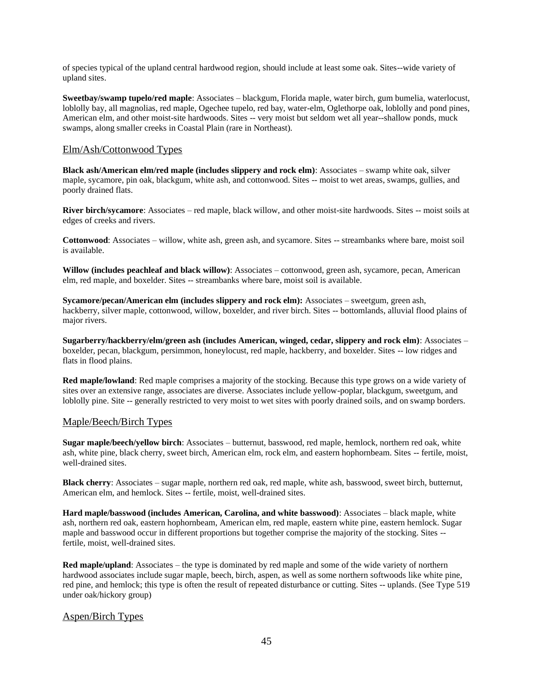of species typical of the upland central hardwood region, should include at least some oak. Sites--wide variety of upland sites.

**Sweetbay/swamp tupelo/red maple**: Associates – blackgum, Florida maple, water birch, gum bumelia, waterlocust, loblolly bay, all magnolias, red maple, Ogechee tupelo, red bay, water-elm, Oglethorpe oak, loblolly and pond pines, American elm, and other moist-site hardwoods. Sites -- very moist but seldom wet all year--shallow ponds, muck swamps, along smaller creeks in Coastal Plain (rare in Northeast).

#### Elm/Ash/Cottonwood Types

**Black ash/American elm/red maple (includes slippery and rock elm)**: Associates – swamp white oak, silver maple, sycamore, pin oak, blackgum, white ash, and cottonwood. Sites -- moist to wet areas, swamps, gullies, and poorly drained flats.

**River birch/sycamore**: Associates – red maple, black willow, and other moist-site hardwoods. Sites -- moist soils at edges of creeks and rivers.

**Cottonwood**: Associates – willow, white ash, green ash, and sycamore. Sites -- streambanks where bare, moist soil is available.

**Willow (includes peachleaf and black willow)**: Associates – cottonwood, green ash, sycamore, pecan, American elm, red maple, and boxelder. Sites -- streambanks where bare, moist soil is available.

**Sycamore/pecan/American elm (includes slippery and rock elm):** Associates – sweetgum, green ash, hackberry, silver maple, cottonwood, willow, boxelder, and river birch. Sites -- bottomlands, alluvial flood plains of major rivers.

**Sugarberry/hackberry/elm/green ash (includes American, winged, cedar, slippery and rock elm)**: Associates – boxelder, pecan, blackgum, persimmon, honeylocust, red maple, hackberry, and boxelder. Sites -- low ridges and flats in flood plains.

**Red maple/lowland**: Red maple comprises a majority of the stocking. Because this type grows on a wide variety of sites over an extensive range, associates are diverse. Associates include yellow-poplar, blackgum, sweetgum, and loblolly pine. Site -- generally restricted to very moist to wet sites with poorly drained soils, and on swamp borders.

#### Maple/Beech/Birch Types

**Sugar maple/beech/yellow birch**: Associates – butternut, basswood, red maple, hemlock, northern red oak, white ash, white pine, black cherry, sweet birch, American elm, rock elm, and eastern hophornbeam. Sites -- fertile, moist, well-drained sites.

**Black cherry**: Associates – sugar maple, northern red oak, red maple, white ash, basswood, sweet birch, butternut, American elm, and hemlock. Sites -- fertile, moist, well-drained sites.

**Hard maple/basswood (includes American, Carolina, and white basswood)**: Associates – black maple, white ash, northern red oak, eastern hophornbeam, American elm, red maple, eastern white pine, eastern hemlock. Sugar maple and basswood occur in different proportions but together comprise the majority of the stocking. Sites - fertile, moist, well-drained sites.

**Red maple/upland**: Associates – the type is dominated by red maple and some of the wide variety of northern hardwood associates include sugar maple, beech, birch, aspen, as well as some northern softwoods like white pine, red pine, and hemlock; this type is often the result of repeated disturbance or cutting. Sites -- uplands. (See Type 519 under oak/hickory group)

#### Aspen/Birch Types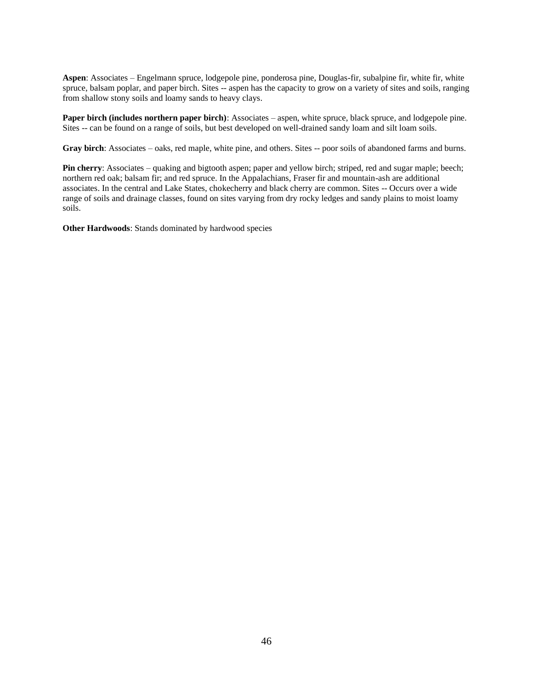**Aspen**: Associates – Engelmann spruce, lodgepole pine, ponderosa pine, Douglas-fir, subalpine fir, white fir, white spruce, balsam poplar, and paper birch. Sites -- aspen has the capacity to grow on a variety of sites and soils, ranging from shallow stony soils and loamy sands to heavy clays.

**Paper birch (includes northern paper birch)**: Associates – aspen, white spruce, black spruce, and lodgepole pine. Sites -- can be found on a range of soils, but best developed on well-drained sandy loam and silt loam soils.

**Gray birch**: Associates – oaks, red maple, white pine, and others. Sites -- poor soils of abandoned farms and burns.

**Pin cherry**: Associates – quaking and bigtooth aspen; paper and yellow birch; striped, red and sugar maple; beech; northern red oak; balsam fir; and red spruce. In the Appalachians, Fraser fir and mountain-ash are additional associates. In the central and Lake States, chokecherry and black cherry are common. Sites -- Occurs over a wide range of soils and drainage classes, found on sites varying from dry rocky ledges and sandy plains to moist loamy soils.

**Other Hardwoods**: Stands dominated by hardwood species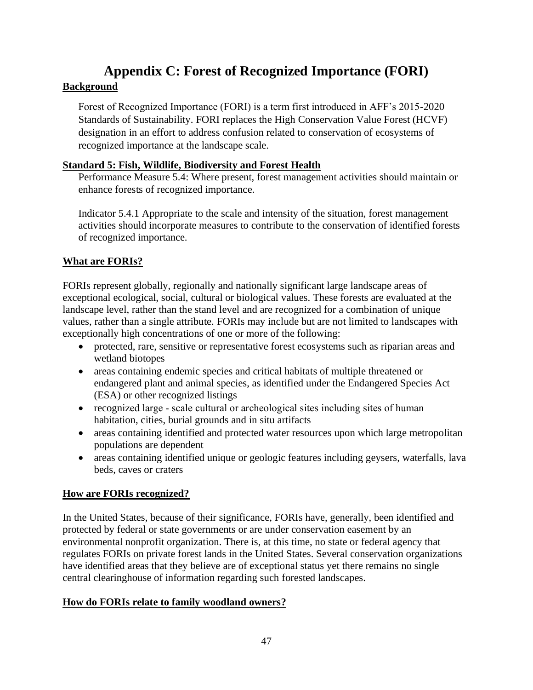# <span id="page-46-0"></span>**Appendix C: Forest of Recognized Importance (FORI) Background**

### Forest of Recognized Importance (FORI) is a term first introduced in AFF's 2015-2020 Standards of Sustainability. FORI replaces the High Conservation Value Forest (HCVF) designation in an effort to address confusion related to conservation of ecosystems of recognized importance at the landscape scale.

#### **Standard 5: Fish, Wildlife, Biodiversity and Forest Health**

Performance Measure 5.4: Where present, forest management activities should maintain or enhance forests of recognized importance.

Indicator 5.4.1 Appropriate to the scale and intensity of the situation, forest management activities should incorporate measures to contribute to the conservation of identified forests of recognized importance.

## **What are FORIs?**

FORIs represent globally, regionally and nationally significant large landscape areas of exceptional ecological, social, cultural or biological values. These forests are evaluated at the landscape level, rather than the stand level and are recognized for a combination of unique values, rather than a single attribute. FORIs may include but are not limited to landscapes with exceptionally high concentrations of one or more of the following:

- protected, rare, sensitive or representative forest ecosystems such as riparian areas and wetland biotopes
- areas containing endemic species and critical habitats of multiple threatened or endangered plant and animal species, as identified under the Endangered Species Act (ESA) or other recognized listings
- recognized large scale cultural or archeological sites including sites of human habitation, cities, burial grounds and in situ artifacts
- areas containing identified and protected water resources upon which large metropolitan populations are dependent
- areas containing identified unique or geologic features including geysers, waterfalls, lava beds, caves or craters

### **How are FORIs recognized?**

In the United States, because of their significance, FORIs have, generally, been identified and protected by federal or state governments or are under conservation easement by an environmental nonprofit organization. There is, at this time, no state or federal agency that regulates FORIs on private forest lands in the United States. Several conservation organizations have identified areas that they believe are of exceptional status yet there remains no single central clearinghouse of information regarding such forested landscapes.

### **How do FORIs relate to family woodland owners?**